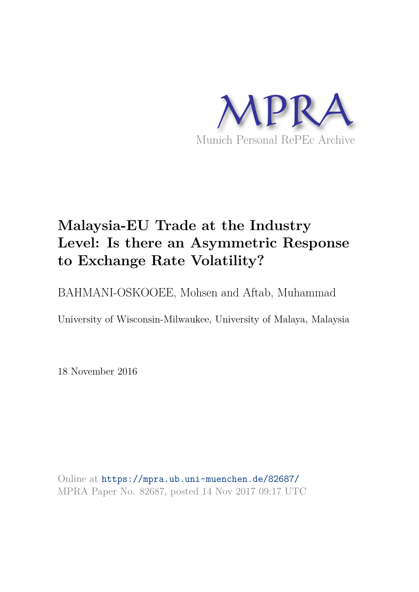

# **Malaysia-EU Trade at the Industry Level: Is there an Asymmetric Response to Exchange Rate Volatility?**

BAHMANI-OSKOOEE, Mohsen and Aftab, Muhammad

University of Wisconsin-Milwaukee, University of Malaya, Malaysia

18 November 2016

Online at https://mpra.ub.uni-muenchen.de/82687/ MPRA Paper No. 82687, posted 14 Nov 2017 09:17 UTC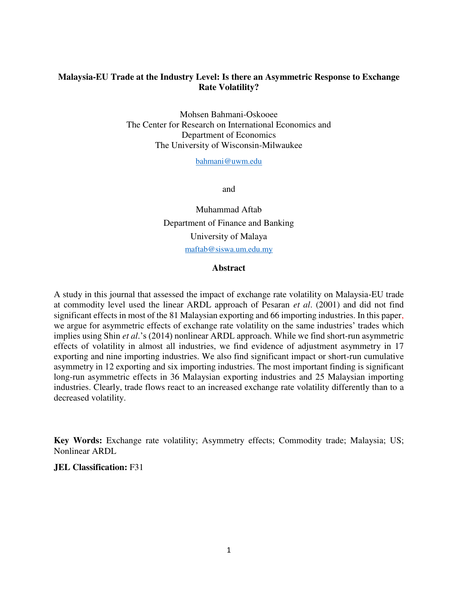## **Malaysia-EU Trade at the Industry Level: Is there an Asymmetric Response to Exchange Rate Volatility?**

Mohsen Bahmani-Oskooee The Center for Research on International Economics and Department of Economics The University of Wisconsin-Milwaukee

[bahmani@uwm.edu](mailto:bahmani@uwm.edu)

and

Muhammad Aftab Department of Finance and Banking University of Malaya maftab@siswa.um.edu.my

#### **Abstract**

A study in this journal that assessed the impact of exchange rate volatility on Malaysia-EU trade at commodity level used the linear ARDL approach of Pesaran *et al*. (2001) and did not find significant effects in most of the 81 Malaysian exporting and 66 importing industries. In this paper, we argue for asymmetric effects of exchange rate volatility on the same industries' trades which implies using Shin *et al*.'s (2014) nonlinear ARDL approach. While we find short-run asymmetric effects of volatility in almost all industries, we find evidence of adjustment asymmetry in 17 exporting and nine importing industries. We also find significant impact or short-run cumulative asymmetry in 12 exporting and six importing industries. The most important finding is significant long-run asymmetric effects in 36 Malaysian exporting industries and 25 Malaysian importing industries. Clearly, trade flows react to an increased exchange rate volatility differently than to a decreased volatility.

**Key Words:** Exchange rate volatility; Asymmetry effects; Commodity trade; Malaysia; US; Nonlinear ARDL

## **JEL Classification:** F31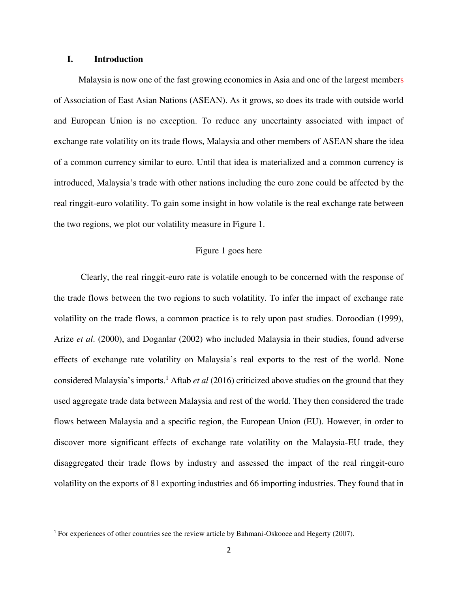#### **I. Introduction**

l

 Malaysia is now one of the fast growing economies in Asia and one of the largest members of Association of East Asian Nations (ASEAN). As it grows, so does its trade with outside world and European Union is no exception. To reduce any uncertainty associated with impact of exchange rate volatility on its trade flows, Malaysia and other members of ASEAN share the idea of a common currency similar to euro. Until that idea is materialized and a common currency is introduced, Malaysia's trade with other nations including the euro zone could be affected by the real ringgit-euro volatility. To gain some insight in how volatile is the real exchange rate between the two regions, we plot our volatility measure in Figure 1.

### Figure 1 goes here

Clearly, the real ringgit-euro rate is volatile enough to be concerned with the response of the trade flows between the two regions to such volatility. To infer the impact of exchange rate volatility on the trade flows, a common practice is to rely upon past studies. Doroodian (1999), Arize *et al*. (2000), and Doganlar (2002) who included Malaysia in their studies, found adverse effects of exchange rate volatility on Malaysia's real exports to the rest of the world. None considered Malaysia's imports.<sup>1</sup> Aftab *et al* (2016) criticized above studies on the ground that they used aggregate trade data between Malaysia and rest of the world. They then considered the trade flows between Malaysia and a specific region, the European Union (EU). However, in order to discover more significant effects of exchange rate volatility on the Malaysia-EU trade, they disaggregated their trade flows by industry and assessed the impact of the real ringgit-euro volatility on the exports of 81 exporting industries and 66 importing industries. They found that in

<sup>1</sup> For experiences of other countries see the review article by Bahmani-Oskooee and Hegerty (2007).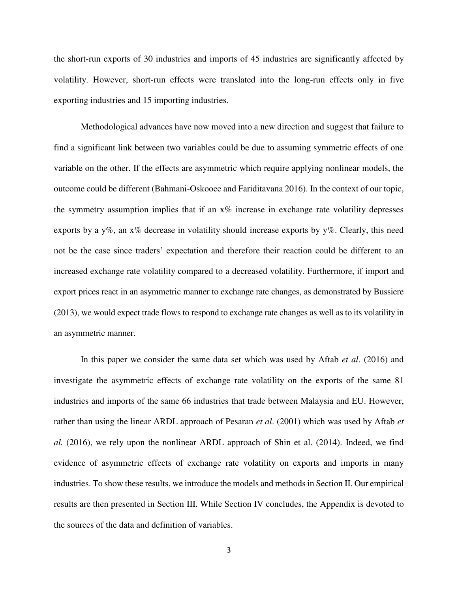the short-run exports of 30 industries and imports of 45 industries are significantly affected by volatility. However, short-run effects were translated into the long-run effects only in five exporting industries and 15 importing industries.

Methodological advances have now moved into a new direction and suggest that failure to find a significant link between two variables could be due to assuming symmetric effects of one variable on the other. If the effects are asymmetric which require applying nonlinear models, the outcome could be different (Bahmani-Oskooee and Fariditavana 2016). In the context of our topic, the symmetry assumption implies that if an  $x\%$  increase in exchange rate volatility depresses exports by a y%, an x% decrease in volatility should increase exports by y%. Clearly, this need not be the case since traders' expectation and therefore their reaction could be different to an increased exchange rate volatility compared to a decreased volatility. Furthermore, if import and export prices react in an asymmetric manner to exchange rate changes, as demonstrated by Bussiere (2013), we would expect trade flows to respond to exchange rate changes as well as to its volatility in an asymmetric manner.

In this paper we consider the same data set which was used by Aftab *et al*. (2016) and investigate the asymmetric effects of exchange rate volatility on the exports of the same 81 industries and imports of the same 66 industries that trade between Malaysia and EU. However, rather than using the linear ARDL approach of Pesaran *et al*. (2001) which was used by Aftab *et al.* (2016), we rely upon the nonlinear ARDL approach of Shin et al. (2014). Indeed, we find evidence of asymmetric effects of exchange rate volatility on exports and imports in many industries. To show these results, we introduce the models and methods in Section II. Our empirical results are then presented in Section III. While Section IV concludes, the Appendix is devoted to the sources of the data and definition of variables.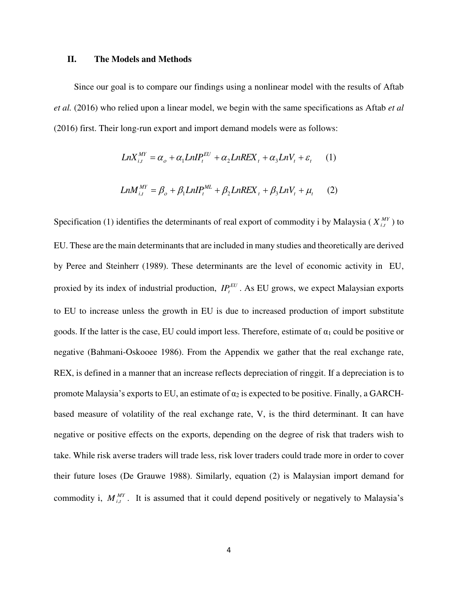#### **II. The Models and Methods**

 Since our goal is to compare our findings using a nonlinear model with the results of Aftab *et al.* (2016) who relied upon a linear model, we begin with the same specifications as Aftab *et al* (2016) first. Their long-run export and import demand models were as follows:

$$
LnX_{i,t}^{MY} = \alpha_o + \alpha_1 LnIP_t^{EU} + \alpha_2 LnREX_t + \alpha_3 LnV_t + \varepsilon_t
$$
 (1)  

$$
LnM_{i,t}^{MY} = \beta_o + \beta_1 LnIP_t^{ML} + \beta_2 LnREX_t + \beta_3 LnV_t + \mu_t
$$
 (2)

Specification (1) identifies the determinants of real export of commodity i by Malaysia ( $X_{i,t}^{MY}$ ) to EU. These are the main determinants that are included in many studies and theoretically are derived by Peree and Steinherr (1989). These determinants are the level of economic activity in EU, proxied by its index of industrial production,  $IP_t^{EU}$ . As EU grows, we expect Malaysian exports to EU to increase unless the growth in EU is due to increased production of import substitute goods. If the latter is the case, EU could import less. Therefore, estimate of  $\alpha_1$  could be positive or negative (Bahmani-Oskooee 1986). From the Appendix we gather that the real exchange rate, REX, is defined in a manner that an increase reflects depreciation of ringgit. If a depreciation is to promote Malaysia's exports to EU, an estimate of  $\alpha_2$  is expected to be positive. Finally, a GARCHbased measure of volatility of the real exchange rate, V, is the third determinant. It can have negative or positive effects on the exports, depending on the degree of risk that traders wish to take. While risk averse traders will trade less, risk lover traders could trade more in order to cover their future loses (De Grauwe 1988). Similarly, equation (2) is Malaysian import demand for commodity i,  $M_{i,t}^{MY}$ . It is assumed that it could depend positively or negatively to Malaysia's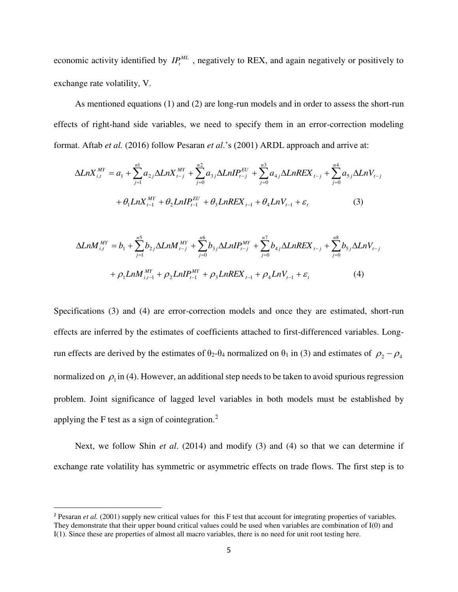economic activity identified by  $IP_t^{ML}$ , negatively to REX, and again negatively or positively to exchange rate volatility, V.

 As mentioned equations (1) and (2) are long-run models and in order to assess the short-run effects of right-hand side variables, we need to specify them in an error-correction modeling format. Aftab *et al.* (2016) follow Pesaran *et al*.'s (2001) ARDL approach and arrive at:

$$
\Delta LnX_{i,t}^{MY} = a_1 + \sum_{j=1}^{n1} a_{2j} \Delta LnX_{t-j}^{MY} + \sum_{j=0}^{n2} a_{3j} \Delta LinIP_{t-j}^{EU} + \sum_{j=0}^{n3} a_{4j} \Delta LnREX_{t-j} + \sum_{j=0}^{n4} a_{5j} \Delta LnV_{t-j} + \theta_1 LnX_{t-1}^{MY} + \theta_2 LinIP_{t-1}^{EU} + \theta_3 LnREX_{t-1} + \theta_4 LnV_{t-1} + \varepsilon_t
$$
 (3)

$$
\Delta L n M_{i,t}^{MY} = b_1 + \sum_{j=1}^{n5} b_{2j} \Delta L n M_{t-j}^{MY} + \sum_{j=0}^{n6} b_{3j} \Delta L n I P_{t-j}^{MY} + \sum_{j=0}^{n7} b_{4j} \Delta L n R E X_{t-j} + \sum_{j=0}^{n8} b_{5j} \Delta L n V_{t-j} + \rho_1 L n M_{i,t-1}^{MY} + \rho_2 L n I P_{t-1}^{MY} + \rho_3 L n R E X_{t-1} + \rho_4 L n V_{t-1} + \varepsilon_t
$$
 (4)

Specifications (3) and (4) are error-correction models and once they are estimated, short-run effects are inferred by the estimates of coefficients attached to first-differenced variables. Longrun effects are derived by the estimates of  $\theta_2-\theta_4$  normalized on  $\theta_1$  in (3) and estimates of  $\rho_2-\rho_4$ normalized on  $\rho_1$  in (4). However, an additional step needs to be taken to avoid spurious regression problem. Joint significance of lagged level variables in both models must be established by applying the F test as a sign of cointegration.<sup>2</sup>

 Next, we follow Shin *et al*. (2014) and modify (3) and (4) so that we can determine if exchange rate volatility has symmetric or asymmetric effects on trade flows. The first step is to

l

<sup>&</sup>lt;sup>2</sup> Pesaran *et al.* (2001) supply new critical values for this F test that account for integrating properties of variables. They demonstrate that their upper bound critical values could be used when variables are combination of I(0) and I(1). Since these are properties of almost all macro variables, there is no need for unit root testing here.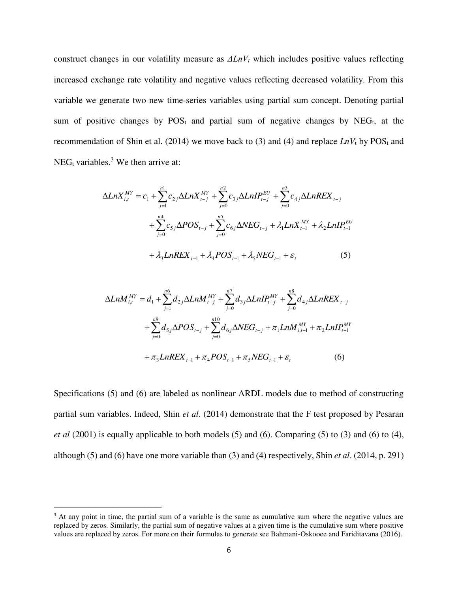construct changes in our volatility measure as *ΔLnVt* which includes positive values reflecting increased exchange rate volatility and negative values reflecting decreased volatility. From this variable we generate two new time-series variables using partial sum concept. Denoting partial sum of positive changes by  $POS<sub>t</sub>$  and partial sum of negative changes by NEG<sub>t</sub>, at the recommendation of Shin et al. (2014) we move back to (3) and (4) and replace  $LnV<sub>t</sub>$  by  $POS<sub>t</sub>$  and NEG<sub>t</sub> variables.<sup>3</sup> We then arrive at:

$$
\Delta LnX_{i,t}^{MY} = c_1 + \sum_{j=1}^{n1} c_{2j} \Delta LnX_{t-j}^{MY} + \sum_{j=0}^{n2} c_{3j} \Delta LinIP_{t-j}^{EU} + \sum_{j=0}^{n3} c_{4j} \Delta LnREX_{t-j} + \sum_{j=0}^{n4} c_{5j} \Delta POS_{t-j} + \sum_{j=0}^{n5} c_{6j} \Delta NEG_{t-j} + \lambda_1 LnX_{t-1}^{MY} + \lambda_2 LinIP_{t-1}^{EU} + \lambda_3 LnREX_{t-1} + \lambda_4 POS_{t-1} + \lambda_5 NEG_{t-1} + \varepsilon_t
$$
 (5)

$$
\Delta LnM_{i,t}^{MY} = d_1 + \sum_{j=1}^{n6} d_{2j} \Delta LnM_{i-j}^{MY} + \sum_{j=0}^{n7} d_{3j} \Delta LnIP_{i-j}^{MY} + \sum_{j=0}^{n8} d_{4j} \Delta LnREX_{i-j} + \sum_{j=0}^{n9} d_{5j} \Delta POS_{i-j} + \sum_{j=0}^{n10} d_{6j} \Delta NEG_{i-j} + \pi_1 LnM_{i,i-1}^{MY} + \pi_2 LnIP_{i-1}^{MY} + \pi_3 LnREX_{i-1} + \pi_4 POS_{i-1} + \pi_5 NEG_{i-1} + \varepsilon_t
$$
 (6)

Specifications (5) and (6) are labeled as nonlinear ARDL models due to method of constructing partial sum variables. Indeed, Shin *et al*. (2014) demonstrate that the F test proposed by Pesaran *et al* (2001) is equally applicable to both models (5) and (6). Comparing (5) to (3) and (6) to (4), although (5) and (6) have one more variable than (3) and (4) respectively, Shin *et al*. (2014, p. 291)

l

<sup>&</sup>lt;sup>3</sup> At any point in time, the partial sum of a variable is the same as cumulative sum where the negative values are replaced by zeros. Similarly, the partial sum of negative values at a given time is the cumulative sum where positive values are replaced by zeros. For more on their formulas to generate see Bahmani-Oskooee and Fariditavana (2016).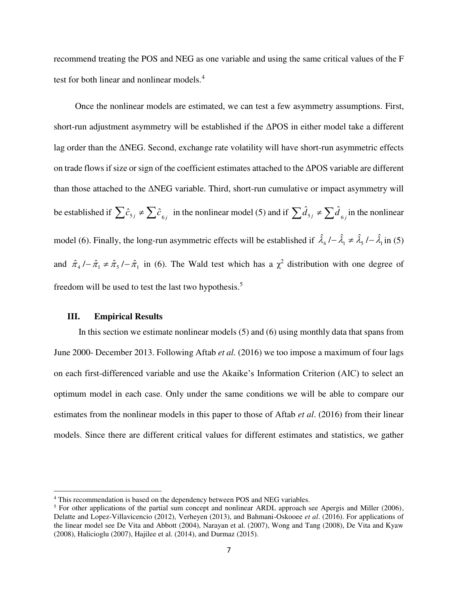recommend treating the POS and NEG as one variable and using the same critical values of the F test for both linear and nonlinear models.<sup>4</sup>

 Once the nonlinear models are estimated, we can test a few asymmetry assumptions. First, short-run adjustment asymmetry will be established if the ΔPOS in either model take a different lag order than the ΔNEG. Second, exchange rate volatility will have short-run asymmetric effects on trade flows if size or sign of the coefficient estimates attached to the ΔPOS variable are different than those attached to the ΔNEG variable. Third, short-run cumulative or impact asymmetry will be established if  $\sum \hat{c}_{5j} \neq \sum \hat{c}_{6j}$  in the nonlinear model (5) and if  $\sum \hat{d}_{5j} \neq \sum \hat{d}_{6j}$  in the nonlinear model (6). Finally, the long-run asymmetric effects will be established if  $\hat{\lambda}_4$  /–  $\hat{\lambda}_1 \neq \hat{\lambda}_5$  /–  $\hat{\lambda}_1$  in (5) and  $\hat{\pi}_4$  / $-\hat{\pi}_1 \neq \hat{\pi}_5$  / $-\hat{\pi}_1$  in (6). The Wald test which has a  $\chi^2$  distribution with one degree of freedom will be used to test the last two hypothesis.<sup>5</sup>

## **III. Empirical Results**

 $\overline{a}$ 

 In this section we estimate nonlinear models (5) and (6) using monthly data that spans from June 2000- December 2013. Following Aftab *et al.* (2016) we too impose a maximum of four lags on each first-differenced variable and use the Akaike's Information Criterion (AIC) to select an optimum model in each case. Only under the same conditions we will be able to compare our estimates from the nonlinear models in this paper to those of Aftab *et al*. (2016) from their linear models. Since there are different critical values for different estimates and statistics, we gather

<sup>&</sup>lt;sup>4</sup> This recommendation is based on the dependency between POS and NEG variables.

<sup>&</sup>lt;sup>5</sup> For other applications of the partial sum concept and nonlinear ARDL approach see Apergis and Miller (2006), Delatte and Lopez-Villavicencio (2012), Verheyen (2013), and Bahmani-Oskooee *et al*. (2016). For applications of the linear model see De Vita and Abbott (2004), Narayan et al. (2007), Wong and Tang (2008), De Vita and Kyaw (2008), Halicioglu (2007), Hajilee et al. (2014), and Durmaz (2015).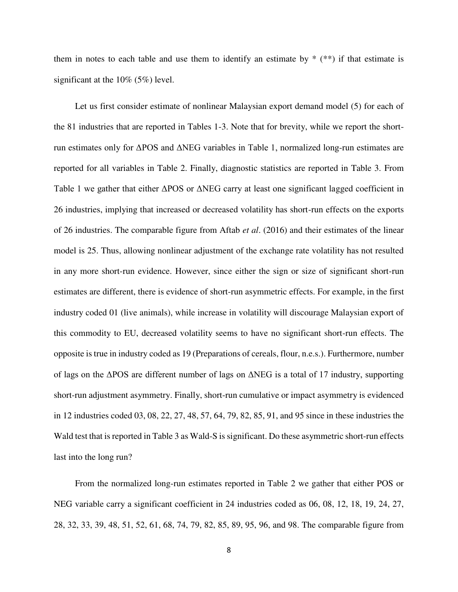them in notes to each table and use them to identify an estimate by  $*$  ( $**$ ) if that estimate is significant at the 10% (5%) level.

 Let us first consider estimate of nonlinear Malaysian export demand model (5) for each of the 81 industries that are reported in Tables 1-3. Note that for brevity, while we report the shortrun estimates only for ΔPOS and ΔNEG variables in Table 1, normalized long-run estimates are reported for all variables in Table 2. Finally, diagnostic statistics are reported in Table 3. From Table 1 we gather that either ΔPOS or ΔNEG carry at least one significant lagged coefficient in 26 industries, implying that increased or decreased volatility has short-run effects on the exports of 26 industries. The comparable figure from Aftab *et al*. (2016) and their estimates of the linear model is 25. Thus, allowing nonlinear adjustment of the exchange rate volatility has not resulted in any more short-run evidence. However, since either the sign or size of significant short-run estimates are different, there is evidence of short-run asymmetric effects. For example, in the first industry coded 01 (live animals), while increase in volatility will discourage Malaysian export of this commodity to EU, decreased volatility seems to have no significant short-run effects. The opposite is true in industry coded as 19 (Preparations of cereals, flour, n.e.s.). Furthermore, number of lags on the ΔPOS are different number of lags on ΔNEG is a total of 17 industry, supporting short-run adjustment asymmetry. Finally, short-run cumulative or impact asymmetry is evidenced in 12 industries coded 03, 08, 22, 27, 48, 57, 64, 79, 82, 85, 91, and 95 since in these industries the Wald test that is reported in Table 3 as Wald-S is significant. Do these asymmetric short-run effects last into the long run?

 From the normalized long-run estimates reported in Table 2 we gather that either POS or NEG variable carry a significant coefficient in 24 industries coded as 06, 08, 12, 18, 19, 24, 27, 28, 32, 33, 39, 48, 51, 52, 61, 68, 74, 79, 82, 85, 89, 95, 96, and 98. The comparable figure from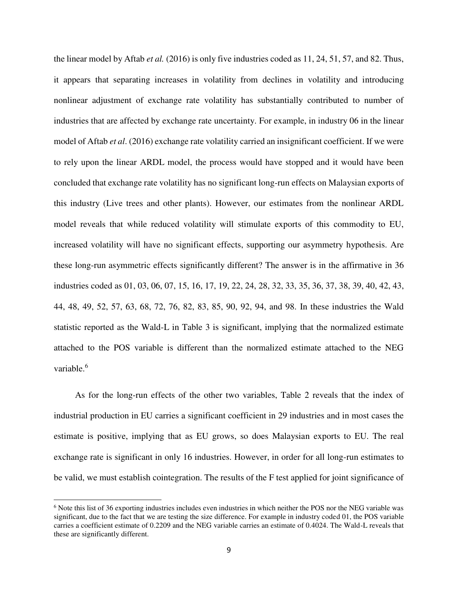the linear model by Aftab *et al.* (2016) is only five industries coded as 11, 24, 51, 57, and 82. Thus, it appears that separating increases in volatility from declines in volatility and introducing nonlinear adjustment of exchange rate volatility has substantially contributed to number of industries that are affected by exchange rate uncertainty. For example, in industry 06 in the linear model of Aftab *et al*. (2016) exchange rate volatility carried an insignificant coefficient. If we were to rely upon the linear ARDL model, the process would have stopped and it would have been concluded that exchange rate volatility has no significant long-run effects on Malaysian exports of this industry (Live trees and other plants). However, our estimates from the nonlinear ARDL model reveals that while reduced volatility will stimulate exports of this commodity to EU, increased volatility will have no significant effects, supporting our asymmetry hypothesis. Are these long-run asymmetric effects significantly different? The answer is in the affirmative in 36 industries coded as 01, 03, 06, 07, 15, 16, 17, 19, 22, 24, 28, 32, 33, 35, 36, 37, 38, 39, 40, 42, 43, 44, 48, 49, 52, 57, 63, 68, 72, 76, 82, 83, 85, 90, 92, 94, and 98. In these industries the Wald statistic reported as the Wald-L in Table 3 is significant, implying that the normalized estimate attached to the POS variable is different than the normalized estimate attached to the NEG variable.<sup>6</sup>

 As for the long-run effects of the other two variables, Table 2 reveals that the index of industrial production in EU carries a significant coefficient in 29 industries and in most cases the estimate is positive, implying that as EU grows, so does Malaysian exports to EU. The real exchange rate is significant in only 16 industries. However, in order for all long-run estimates to be valid, we must establish cointegration. The results of the F test applied for joint significance of

l

<sup>&</sup>lt;sup>6</sup> Note this list of 36 exporting industries includes even industries in which neither the POS nor the NEG variable was significant, due to the fact that we are testing the size difference. For example in industry coded 01, the POS variable carries a coefficient estimate of 0.2209 and the NEG variable carries an estimate of 0.4024. The Wald-L reveals that these are significantly different.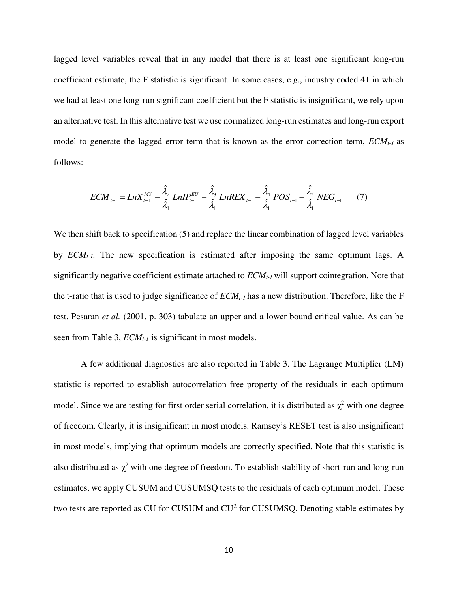lagged level variables reveal that in any model that there is at least one significant long-run coefficient estimate, the F statistic is significant. In some cases, e.g., industry coded 41 in which we had at least one long-run significant coefficient but the F statistic is insignificant, we rely upon an alternative test. In this alternative test we use normalized long-run estimates and long-run export model to generate the lagged error term that is known as the error-correction term, *ECMt-1* as follows:

$$
ECM_{t-1} = LnX_{t-1}^{MY} - \frac{\hat{\lambda}_{2}}{\hat{\lambda}_{1}} LinIP_{t-1}^{EU} - \frac{\hat{\lambda}_{3}}{\hat{\lambda}_{1}}LnREX_{t-1} - \frac{\hat{\lambda}_{4}}{\hat{\lambda}_{1}}POS_{t-1} - \frac{\hat{\lambda}_{5}}{\hat{\lambda}_{1}}NEG_{t-1}
$$
(7)

We then shift back to specification (5) and replace the linear combination of lagged level variables by *ECMt-1.* The new specification is estimated after imposing the same optimum lags. A significantly negative coefficient estimate attached to *ECMt-1* will support cointegration. Note that the t-ratio that is used to judge significance of *ECMt-1* has a new distribution. Therefore, like the F test, Pesaran *et al.* (2001, p. 303) tabulate an upper and a lower bound critical value. As can be seen from Table 3, *ECMt-1* is significant in most models.

A few additional diagnostics are also reported in Table 3. The Lagrange Multiplier (LM) statistic is reported to establish autocorrelation free property of the residuals in each optimum model. Since we are testing for first order serial correlation, it is distributed as  $\chi^2$  with one degree of freedom. Clearly, it is insignificant in most models. Ramsey's RESET test is also insignificant in most models, implying that optimum models are correctly specified. Note that this statistic is also distributed as  $\chi^2$  with one degree of freedom. To establish stability of short-run and long-run estimates, we apply CUSUM and CUSUMSQ tests to the residuals of each optimum model. These two tests are reported as CU for CUSUM and  $CU^2$  for CUSUMSQ. Denoting stable estimates by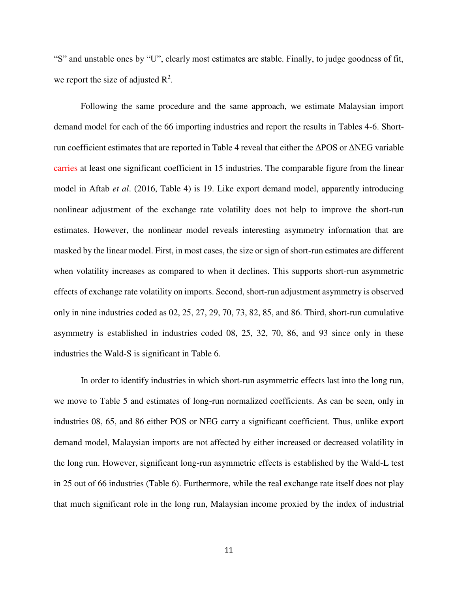"S" and unstable ones by "U", clearly most estimates are stable. Finally, to judge goodness of fit, we report the size of adjusted  $\mathbb{R}^2$ .

Following the same procedure and the same approach, we estimate Malaysian import demand model for each of the 66 importing industries and report the results in Tables 4-6. Shortrun coefficient estimates that are reported in Table 4 reveal that either the ΔPOS or ΔNEG variable carries at least one significant coefficient in 15 industries. The comparable figure from the linear model in Aftab *et al*. (2016, Table 4) is 19. Like export demand model, apparently introducing nonlinear adjustment of the exchange rate volatility does not help to improve the short-run estimates. However, the nonlinear model reveals interesting asymmetry information that are masked by the linear model. First, in most cases, the size or sign of short-run estimates are different when volatility increases as compared to when it declines. This supports short-run asymmetric effects of exchange rate volatility on imports. Second, short-run adjustment asymmetry is observed only in nine industries coded as 02, 25, 27, 29, 70, 73, 82, 85, and 86. Third, short-run cumulative asymmetry is established in industries coded 08, 25, 32, 70, 86, and 93 since only in these industries the Wald-S is significant in Table 6.

In order to identify industries in which short-run asymmetric effects last into the long run, we move to Table 5 and estimates of long-run normalized coefficients. As can be seen, only in industries 08, 65, and 86 either POS or NEG carry a significant coefficient. Thus, unlike export demand model, Malaysian imports are not affected by either increased or decreased volatility in the long run. However, significant long-run asymmetric effects is established by the Wald-L test in 25 out of 66 industries (Table 6). Furthermore, while the real exchange rate itself does not play that much significant role in the long run, Malaysian income proxied by the index of industrial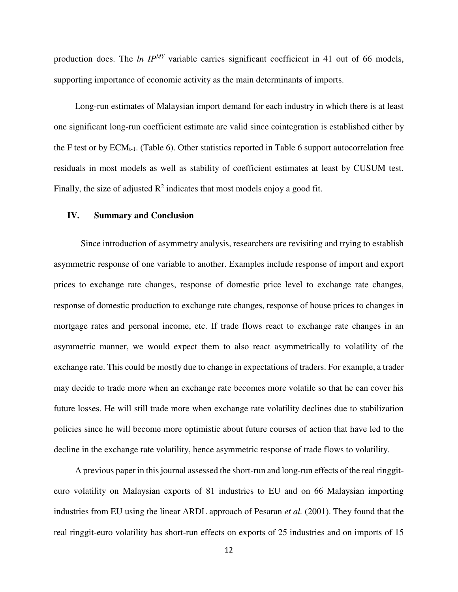production does. The *ln IPMY* variable carries significant coefficient in 41 out of 66 models, supporting importance of economic activity as the main determinants of imports.

 Long-run estimates of Malaysian import demand for each industry in which there is at least one significant long-run coefficient estimate are valid since cointegration is established either by the F test or by  $ECM_{t-1}$ . (Table 6). Other statistics reported in Table 6 support autocorrelation free residuals in most models as well as stability of coefficient estimates at least by CUSUM test. Finally, the size of adjusted  $\mathbb{R}^2$  indicates that most models enjoy a good fit.

#### **IV. Summary and Conclusion**

Since introduction of asymmetry analysis, researchers are revisiting and trying to establish asymmetric response of one variable to another. Examples include response of import and export prices to exchange rate changes, response of domestic price level to exchange rate changes, response of domestic production to exchange rate changes, response of house prices to changes in mortgage rates and personal income, etc. If trade flows react to exchange rate changes in an asymmetric manner, we would expect them to also react asymmetrically to volatility of the exchange rate. This could be mostly due to change in expectations of traders. For example, a trader may decide to trade more when an exchange rate becomes more volatile so that he can cover his future losses. He will still trade more when exchange rate volatility declines due to stabilization policies since he will become more optimistic about future courses of action that have led to the decline in the exchange rate volatility, hence asymmetric response of trade flows to volatility.

 A previous paper in this journal assessed the short-run and long-run effects of the real ringgiteuro volatility on Malaysian exports of 81 industries to EU and on 66 Malaysian importing industries from EU using the linear ARDL approach of Pesaran *et al.* (2001). They found that the real ringgit-euro volatility has short-run effects on exports of 25 industries and on imports of 15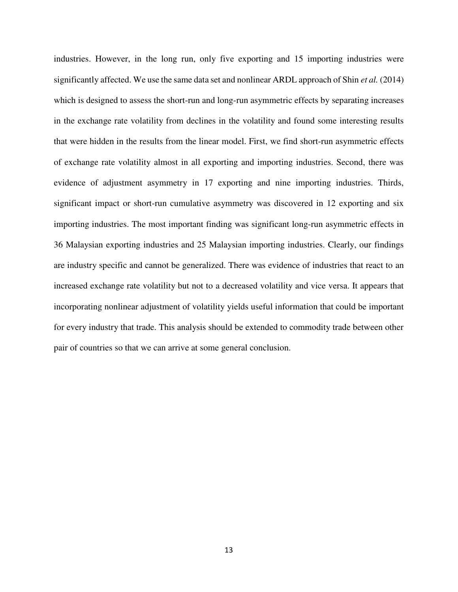industries. However, in the long run, only five exporting and 15 importing industries were significantly affected. We use the same data set and nonlinear ARDL approach of Shin *et al.* (2014) which is designed to assess the short-run and long-run asymmetric effects by separating increases in the exchange rate volatility from declines in the volatility and found some interesting results that were hidden in the results from the linear model. First, we find short-run asymmetric effects of exchange rate volatility almost in all exporting and importing industries. Second, there was evidence of adjustment asymmetry in 17 exporting and nine importing industries. Thirds, significant impact or short-run cumulative asymmetry was discovered in 12 exporting and six importing industries. The most important finding was significant long-run asymmetric effects in 36 Malaysian exporting industries and 25 Malaysian importing industries. Clearly, our findings are industry specific and cannot be generalized. There was evidence of industries that react to an increased exchange rate volatility but not to a decreased volatility and vice versa. It appears that incorporating nonlinear adjustment of volatility yields useful information that could be important for every industry that trade. This analysis should be extended to commodity trade between other pair of countries so that we can arrive at some general conclusion.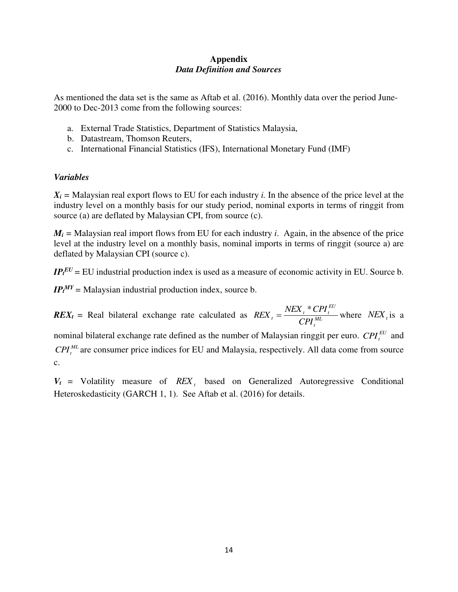## **Appendix**  *Data Definition and Sources*

As mentioned the data set is the same as Aftab et al. (2016). Monthly data over the period June-2000 to Dec-2013 come from the following sources:

- a. External Trade Statistics, Department of Statistics Malaysia,
- b. Datastream, Thomson Reuters,
- c. International Financial Statistics (IFS), International Monetary Fund (IMF)

## *Variables*

 $X_i$  = Malaysian real export flows to EU for each industry *i*. In the absence of the price level at the industry level on a monthly basis for our study period, nominal exports in terms of ringgit from source (a) are deflated by Malaysian CPI, from source (c).

 $M_i$  = Malaysian real import flows from EU for each industry *i*. Again, in the absence of the price level at the industry level on a monthly basis, nominal imports in terms of ringgit (source a) are deflated by Malaysian CPI (source c).

 $IP_t^{EU}$  = EU industrial production index is used as a measure of economic activity in EU. Source b.

*IP<sup>t</sup> MY=* Malaysian industrial production index, source b.

 $REX_t$  = Real bilateral exchange rate calculated as  $REX_t = \frac{PEX_t}{CPL^{ML}}$ *t EU*  $t = \frac{I_{\text{VLA}}}{CPI_t^{ML}}$  $REX_t = \frac{NEX_t * CPI_t^{EU}}{CPI_{t}^{ML}}$  where  $NEX_t$  is a nominal bilateral exchange rate defined as the number of Malaysian ringgit per euro.  $\mathit{CPI}^{\mathit{EU}}_t$  and *ML CPI<sup>t</sup>* are consumer price indices for EU and Malaysia, respectively. All data come from source c.

 $V_t$  = Volatility measure of  $REX_t$  based on Generalized Autoregressive Conditional Heteroskedasticity (GARCH 1, 1). See Aftab et al. (2016) for details.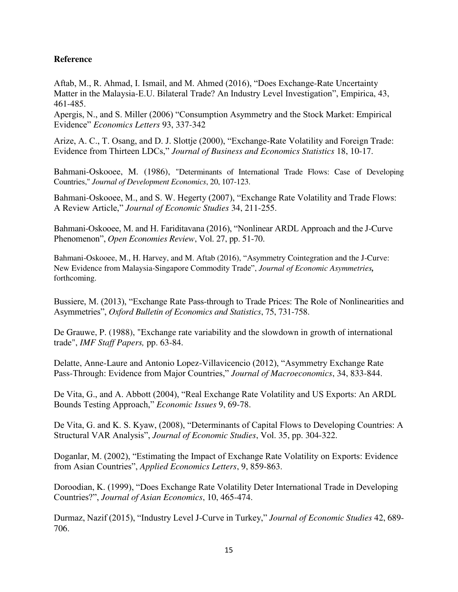# **Reference**

Aftab, M., R. Ahmad, I. Ismail, and M. Ahmed (2016), "Does Exchange-Rate Uncertainty Matter in the Malaysia-E.U. Bilateral Trade? An Industry Level Investigation", Empirica, 43, 461-485.

Apergis, N., and S. Miller (2006) "Consumption Asymmetry and the Stock Market: Empirical Evidence" *Economics Letters* 93, 337-342

Arize, A. C., T. Osang, and D. J. Slottje (2000), "Exchange-Rate Volatility and Foreign Trade: Evidence from Thirteen LDCs," *Journal of Business and Economics Statistics* 18, 10-17.

Bahmani-Oskooee, M. (1986), "Determinants of International Trade Flows: Case of Developing Countries," *Journal of Development Economics*, 20, 107-123.

Bahmani-Oskooee, M., and S. W. Hegerty (2007), "Exchange Rate Volatility and Trade Flows: A Review Article," *Journal of Economic Studies* 34, 211-255.

Bahmani-Oskooee, M. and H. Fariditavana (2016), "Nonlinear ARDL Approach and the J-Curve Phenomenon", *Open Economies Review*, Vol. 27, pp. 51-70.

Bahmani-Oskooee, M., H. Harvey, and M. Aftab (2016), "Asymmetry Cointegration and the J-Curve: New Evidence from Malaysia-Singapore Commodity Trade", *Journal of Economic Asymmetries,*  forthcoming.

Bussiere, M. (2013), "Exchange Rate Pass-through to Trade Prices: The Role of Nonlinearities and Asymmetries", *Oxford Bulletin of Economics and Statistics*, 75, 731-758.

De Grauwe, P. (1988), "Exchange rate variability and the slowdown in growth of international trade", *IMF Staff Papers,* pp. 63-84.

Delatte, Anne-Laure and Antonio Lopez-Villavicencio (2012), "Asymmetry Exchange Rate Pass-Through: Evidence from Major Countries," *Journal of Macroeconomics*, 34, 833-844.

De Vita, G., and A. Abbott (2004), "Real Exchange Rate Volatility and US Exports: An ARDL Bounds Testing Approach," *Economic Issues* 9, 69-78.

De Vita, G. and K. S. Kyaw, (2008), "Determinants of Capital Flows to Developing Countries: A Structural VAR Analysis", *Journal of Economic Studies*, Vol. 35, pp. 304-322.

Doganlar, M. (2002), "Estimating the Impact of Exchange Rate Volatility on Exports: Evidence from Asian Countries", *Applied Economics Letters*, 9, 859-863.

Doroodian, K. (1999), "Does Exchange Rate Volatility Deter International Trade in Developing Countries?", *Journal of Asian Economics*, 10, 465-474.

Durmaz, Nazif (2015), "Industry Level J-Curve in Turkey," *Journal of Economic Studies* 42, 689- 706.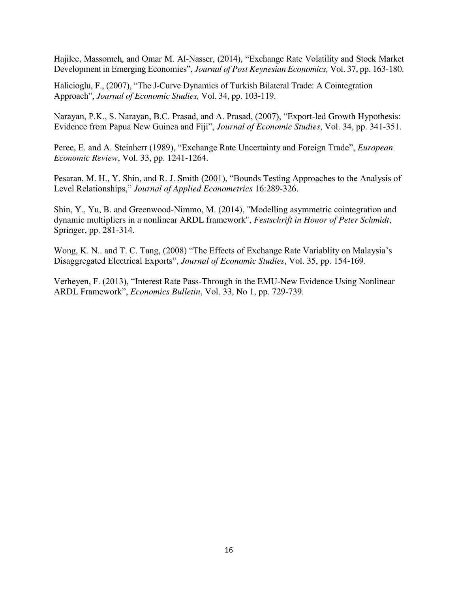Hajilee, Massomeh, and Omar M. Al-Nasser, (2014), "Exchange Rate Volatility and Stock Market Development in Emerging Economies", *Journal of Post Keynesian Economics,* Vol. 37, pp. 163-180.

Halicioglu, F., (2007), "The J-Curve Dynamics of Turkish Bilateral Trade: A Cointegration Approach", *Journal of Economic Studies,* Vol. 34, pp. 103-119.

Narayan, P.K., S. Narayan, B.C. Prasad, and A. Prasad, (2007), "Export-led Growth Hypothesis: Evidence from Papua New Guinea and Fiji", *Journal of Economic Studies*, Vol. 34, pp. 341-351.

Peree, E. and A. Steinherr (1989), "Exchange Rate Uncertainty and Foreign Trade", *European Economic Review*, Vol. 33, pp. 1241-1264.

Pesaran, M. H., Y. Shin, and R. J. Smith (2001), "Bounds Testing Approaches to the Analysis of Level Relationships," *Journal of Applied Econometrics* 16:289-326.

Shin, Y., Yu, B. and Greenwood-Nimmo, M. (2014), "Modelling asymmetric cointegration and dynamic multipliers in a nonlinear ARDL framework", *Festschrift in Honor of Peter Schmidt*, Springer, pp. 281-314.

Wong, K. N.. and T. C. Tang, (2008) "The Effects of Exchange Rate Variablity on Malaysia's Disaggregated Electrical Exports", *Journal of Economic Studies*, Vol. 35, pp. 154-169.

Verheyen, F. (2013), "Interest Rate Pass-Through in the EMU-New Evidence Using Nonlinear ARDL Framework", *Economics Bulletin*, Vol. 33, No 1, pp. 729-739.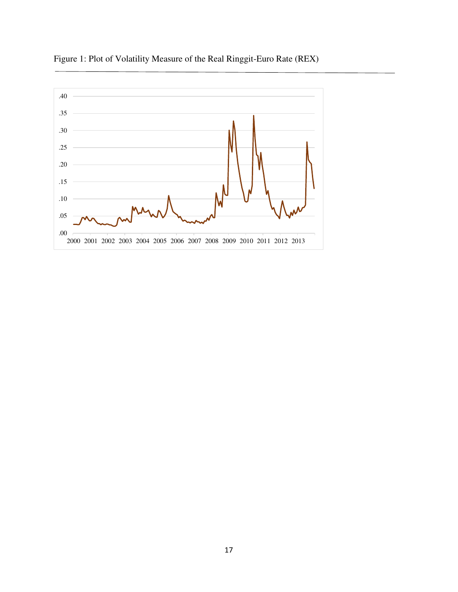

Figure 1: Plot of Volatility Measure of the Real Ringgit-Euro Rate (REX)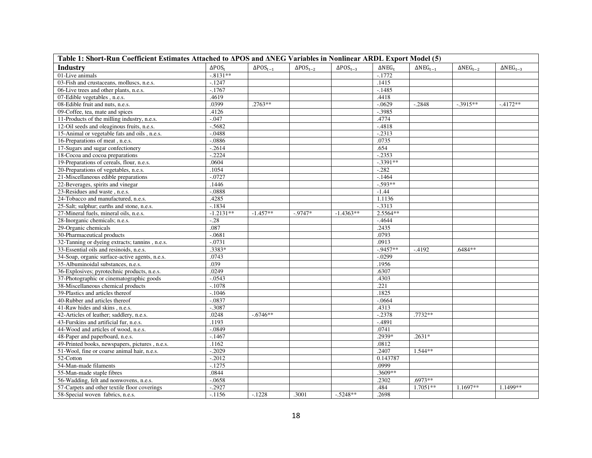| Table 1: Short-Run Coefficient Estimates Attached to APOS and ANEG Variables in Nonlinear ARDL Export Model (5) |                  |                    |                                 |                    |                         |                           |                                    |                           |
|-----------------------------------------------------------------------------------------------------------------|------------------|--------------------|---------------------------------|--------------------|-------------------------|---------------------------|------------------------------------|---------------------------|
| Industry                                                                                                        | $\Delta POS_{+}$ | $\Delta POS_{t-1}$ | $\Delta\text{POS}_{\text{t}-2}$ | $\Delta POS_{t-3}$ | $\Delta \text{NEG}_{t}$ | $\Delta \text{NEG}_{t-1}$ | $\Delta \text{NEG}_{\mathsf{t}-2}$ | $\Delta \text{NEG}_{t-3}$ |
| 01-Live animals                                                                                                 | $-.8131**$       |                    |                                 |                    | $-.1772$                |                           |                                    |                           |
| 03-Fish and crustaceans, molluscs, n.e.s.                                                                       | $-1247$          |                    |                                 |                    | .1415                   |                           |                                    |                           |
| 06-Live trees and other plants, n.e.s.                                                                          | $-.1767$         |                    |                                 |                    | $-1485$                 |                           |                                    |                           |
| 07-Edible vegetables, n.e.s.                                                                                    | 4619             |                    |                                 |                    | .4418                   |                           |                                    |                           |
| 08-Edible fruit and nuts, n.e.s.                                                                                | .0399            | $.2763**$          |                                 |                    | $-0629$                 | $-.2848$                  | $-.3915**$                         | $-4172**$                 |
| 09-Coffee, tea, mate and spices                                                                                 | .4126            |                    |                                 |                    | $-.3985$                |                           |                                    |                           |
| 11-Products of the milling industry, n.e.s.                                                                     | -.047            |                    |                                 |                    | .4774                   |                           |                                    |                           |
| 12-Oil seeds and oleaginous fruits, n.e.s.                                                                      | $-.5682$         |                    |                                 |                    | $-.4818$                |                           |                                    |                           |
| 15-Animal or vegetable fats and oils, n.e.s.                                                                    | $-0.488$         |                    |                                 |                    | $-.2313$                |                           |                                    |                           |
| 16-Preparations of meat, n.e.s.                                                                                 | $-0886$          |                    |                                 |                    | .0735                   |                           |                                    |                           |
| 17-Sugars and sugar confectionery                                                                               | $-.2614$         |                    |                                 |                    | .654                    |                           |                                    |                           |
| 18-Cocoa and cocoa preparations                                                                                 | $-0.2224$        |                    |                                 |                    | $-2353$                 |                           |                                    |                           |
| 19-Preparations of cereals, flour, n.e.s.                                                                       | .0604            |                    |                                 |                    | $-3391**$               |                           |                                    |                           |
| 20-Preparations of vegetables, n.e.s.                                                                           | .1054            |                    |                                 |                    | $-.282$                 |                           |                                    |                           |
| 21-Miscellaneous edible preparations                                                                            | $-.0727$         |                    |                                 |                    | $-1464$                 |                           |                                    |                           |
| 22-Beverages, spirits and vinegar                                                                               | 1446             |                    |                                 |                    | $-.593**$               |                           |                                    |                           |
| 23-Residues and waste, n.e.s.                                                                                   | $-0888$          |                    |                                 |                    | $-1.44$                 |                           |                                    |                           |
| 24-Tobacco and manufactured, n.e.s.                                                                             | .4285            |                    |                                 |                    | 1.1136                  |                           |                                    |                           |
| 25-Salt; sulphur; earths and stone, n.e.s.                                                                      | $-1834$          |                    |                                 |                    | $-.3313$                |                           |                                    |                           |
| 27-Mineral fuels, mineral oils, n.e.s.                                                                          | $-1.2131**$      | $-1.457**$         | $-0.9747*$                      | $-1.4363**$        | 2.5564**                |                           |                                    |                           |
| 28-Inorganic chemicals; n.e.s.                                                                                  | $-.28$           |                    |                                 |                    | $-4644$                 |                           |                                    |                           |
| 29-Organic chemicals                                                                                            | .087             |                    |                                 |                    | .2435                   |                           |                                    |                           |
| 30-Pharmaceutical products                                                                                      | $-0681$          |                    |                                 |                    | .0793                   |                           |                                    |                           |
| 32-Tanning or dyeing extracts; tannins, n.e.s.                                                                  | $-0731$          |                    |                                 |                    | .0913                   |                           |                                    |                           |
| 33-Essential oils and resinoids, n.e.s.                                                                         | .3383*           |                    |                                 |                    | $-0.9457**$             | $-4192$                   | .6484**                            |                           |
| 34-Soap, organic surface-active agents, n.e.s.                                                                  | .0743            |                    |                                 |                    | $-.0299$                |                           |                                    |                           |
| 35-Albuminoidal substances, n.e.s.                                                                              | .039             |                    |                                 |                    | .1956                   |                           |                                    |                           |
| 36-Explosives; pyrotechnic products, n.e.s.                                                                     | .0249            |                    |                                 |                    | .6307                   |                           |                                    |                           |
| 37-Photographic or cinematographic goods                                                                        | $-.0543$         |                    |                                 |                    | .4303                   |                           |                                    |                           |
| 38-Miscellaneous chemical products                                                                              | $-.1078$         |                    |                                 |                    | .221                    |                           |                                    |                           |
| 39-Plastics and articles thereof                                                                                | $-1046$          |                    |                                 |                    | .1825                   |                           |                                    |                           |
| 40-Rubber and articles thereof                                                                                  | $-0837$          |                    |                                 |                    | $-.0664$                |                           |                                    |                           |
| 41-Raw hides and skins, n.e.s.                                                                                  | $-.3087$         |                    |                                 |                    | .4313                   |                           |                                    |                           |
| 42-Articles of leather; saddlery, n.e.s.                                                                        | .0248            | $-.6746**$         |                                 |                    | $-.2378$                | $.7732**$                 |                                    |                           |
| 43-Furskins and artificial fur. n.e.s.                                                                          | .1193            |                    |                                 |                    | $-.4891$                |                           |                                    |                           |
| 44-Wood and articles of wood, n.e.s.                                                                            | $-.0849$         |                    |                                 |                    | .0741                   |                           |                                    |                           |
| 48-Paper and paperboard, n.e.s.                                                                                 | $-1467$          |                    |                                 |                    | .2939*                  | $.2631*$                  |                                    |                           |
| 49-Printed books, newspapers, pictures, n.e.s.                                                                  | .1162            |                    |                                 |                    | .0812                   |                           |                                    |                           |
| 51-Wool, fine or coarse animal hair, n.e.s.                                                                     | $-.2029$         |                    |                                 |                    | .2407                   | $1.544**$                 |                                    |                           |
| 52-Cotton                                                                                                       | $-0.2012$        |                    |                                 |                    | 0.143787                |                           |                                    |                           |
| 54-Man-made filaments                                                                                           | $-.1275$         |                    |                                 |                    | .0999                   |                           |                                    |                           |
| 55-Man-made staple fibres                                                                                       | .0844            |                    |                                 |                    | .3609**                 |                           |                                    |                           |
| 56-Wadding, felt and nonwovens, n.e.s.                                                                          | $-.0658$         |                    |                                 |                    | .2302                   | $.6973**$                 |                                    |                           |
| 57-Carpets and other textile floor coverings                                                                    | $-0.2927$        |                    |                                 |                    | .484                    | $1.7051**$                | 1.1697**                           | 1.1499**                  |
| 58-Special woven fabrics, n.e.s.                                                                                | $-.1156$         | $-.1228$           | .3001                           | $-.5248**$         | .2698                   |                           |                                    |                           |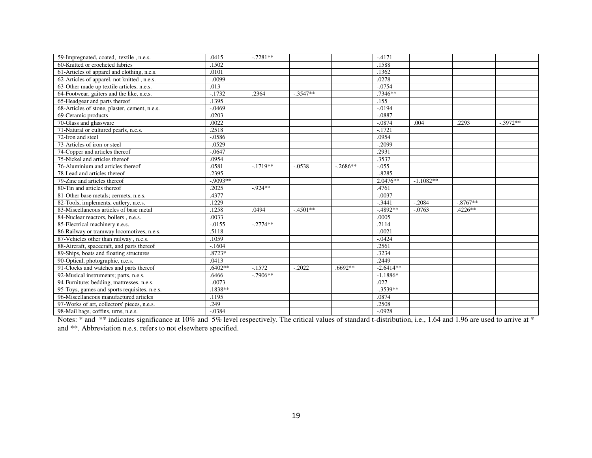| 59-Impregnated, coated, textile, n.e.s.       | .0415     | $-.7281**$ |            |            | $-4171$     |             |           |           |
|-----------------------------------------------|-----------|------------|------------|------------|-------------|-------------|-----------|-----------|
| 60-Knitted or crocheted fabrics               | .1502     |            |            |            | .1588       |             |           |           |
| 61-Articles of apparel and clothing, n.e.s.   | .0101     |            |            |            | .1362       |             |           |           |
| 62-Articles of apparel, not knitted, n.e.s.   | $-.0099$  |            |            |            | .0278       |             |           |           |
| 63-Other made up textile articles, n.e.s.     | .013      |            |            |            | $-.0754$    |             |           |           |
| 64-Footwear, gaiters and the like, n.e.s.     | $-.1732$  | .2364      | $-.3547**$ |            | $.7346**$   |             |           |           |
| 65-Headgear and parts thereof                 | .1395     |            |            |            | .155        |             |           |           |
| 68-Articles of stone, plaster, cement, n.e.s. | $-.0469$  |            |            |            | $-.0194$    |             |           |           |
| 69-Ceramic products                           | .0203     |            |            |            | $-.0887$    |             |           |           |
| 70-Glass and glassware                        | .0022     |            |            |            | $-.0874$    | .004        | .2293     | $-3972**$ |
| 71-Natural or cultured pearls, n.e.s.         | .2518     |            |            |            | $-.1721$    |             |           |           |
| 72-Iron and steel                             | $-.0586$  |            |            |            | .0954       |             |           |           |
| 73-Articles of iron or steel                  | $-.0529$  |            |            |            | $-.2099$    |             |           |           |
| 74-Copper and articles thereof                | $-.0647$  |            |            |            | .2931       |             |           |           |
| 75-Nickel and articles thereof                | .0954     |            |            |            | .3537       |             |           |           |
| 76-Aluminium and articles thereof             | .0581     | $-.1719**$ | $-.0538$   | $-.2686**$ | $-.055$     |             |           |           |
| 78-Lead and articles thereof                  | .2395     |            |            |            | $-.8285$    |             |           |           |
| 79-Zinc and articles thereof                  | $-9093**$ |            |            |            | $2.0476**$  | $-1.1082**$ |           |           |
| 80-Tin and articles thereof                   | .2025     | $-0.924**$ |            |            | .4761       |             |           |           |
| 81-Other base metals; cermets, n.e.s.         | .4377     |            |            |            | $-.0037$    |             |           |           |
| 82-Tools, implements, cutlery, n.e.s.         | .1229     |            |            |            | $-.3441$    | $-.2084$    | $-8767**$ |           |
| 83-Miscellaneous articles of base metal       | .1258     | .0494      | $-.4501**$ |            | $-4892**$   | $-.0763$    | $.4226**$ |           |
| 84-Nuclear reactors, boilers, n.e.s.          | .0033     |            |            |            | .0005       |             |           |           |
| 85-Electrical machinery n.e.s.                | $-0.0155$ | $-.2774**$ |            |            | .2114       |             |           |           |
| 86-Railway or tramway locomotives, n.e.s.     | .5118     |            |            |            | $-.0021$    |             |           |           |
| 87-Vehicles other than railway, n.e.s.        | .1059     |            |            |            | $-.0424$    |             |           |           |
| 88-Aircraft, spacecraft, and parts thereof    | $-1604$   |            |            |            | .2561       |             |           |           |
| 89-Ships, boats and floating structures       | $.8723*$  |            |            |            | .3234       |             |           |           |
| 90-Optical, photographic, n.e.s.              | .0413     |            |            |            | .2449       |             |           |           |
| 91-Clocks and watches and parts thereof       | $.6402**$ | $-1572$    | $-.2022$   | $.6692**$  | $-2.6414**$ |             |           |           |
| 92-Musical instruments; parts, n.e.s.         | .6466     | $-.7906**$ |            |            | $-1.1886*$  |             |           |           |
| 94-Furniture; bedding, mattresses, n.e.s.     | $-.0073$  |            |            |            | .027        |             |           |           |
| 95-Toys, games and sports requisites, n.e.s.  | .1838**   |            |            |            | $-3539**$   |             |           |           |
| 96-Miscellaneous manufactured articles        | .1195     |            |            |            | .0874       |             |           |           |
| 97-Works of art, collectors' pieces, n.e.s.   | .249      |            |            |            | .2508       |             |           |           |
| 98-Mail bags, coffins, urns, n.e.s.           | $-.0384$  |            |            |            | $-.0928$    |             |           |           |

Notes: \* and \*\* indicates significance at 10% and 5% level respectively. The critical values of standard t-distribution, i.e., 1.64 and 1.96 are used to arrive at \* and \*\*. Abbreviation n.e.s. refers to not elsewhere specified.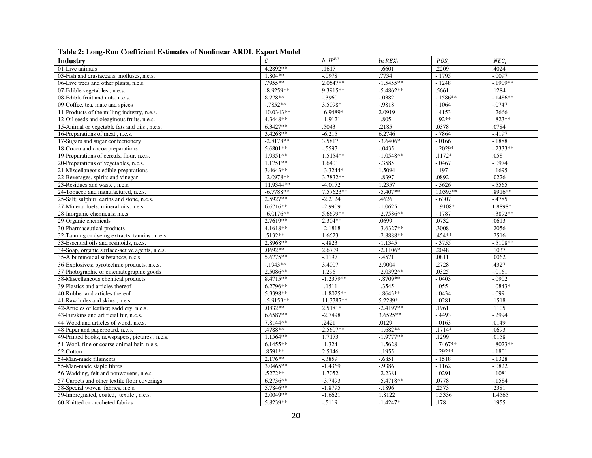| Table 2: Long-Run Coefficient Estimates of Nonlinear ARDL Export Model |             |              |                       |            |             |  |  |  |  |  |
|------------------------------------------------------------------------|-------------|--------------|-----------------------|------------|-------------|--|--|--|--|--|
| <b>Industry</b>                                                        |             | $ln IP^{EU}$ | $ln$ REX <sub>t</sub> | $POS_{t}$  | $NEG_t$     |  |  |  |  |  |
| 01-Live animals                                                        | 4.2892**    | .1617        | $-.6601$              | .2209      | .4024       |  |  |  |  |  |
| 03-Fish and crustaceans, molluscs, n.e.s.                              | 1.804**     | $-.0978$     | .7734                 | $-1795$    | $-.0097$    |  |  |  |  |  |
| 06-Live trees and other plants, n.e.s.                                 | $.7955**$   | $2.0547**$   | $-1.5455**$           | $-.1248$   | $-1909**$   |  |  |  |  |  |
| 07-Edible vegetables, n.e.s.                                           | $-8.9259**$ | 9.3915**     | $-5.4862**$           | .5661      | .1284       |  |  |  |  |  |
| 08-Edible fruit and nuts, n.e.s.                                       | 8.778**     | $-.3960$     | $-.0382$              | $-.1586**$ | $-.1486**$  |  |  |  |  |  |
| 09-Coffee, tea, mate and spices                                        | $-7852**$   | 3.5098*      | $-0.9818$             | $-.1064$   | $-.0747$    |  |  |  |  |  |
| 11-Products of the milling industry, n.e.s.                            | $10.0343**$ | $-6.9489*$   | 2.0919                | $-4153$    | $-0.2666$   |  |  |  |  |  |
| 12-Oil seeds and oleaginous fruits, n.e.s.                             | 4.3448**    | $-1.9121$    | $-.805$               | $-92**$    | $-.823**$   |  |  |  |  |  |
| 15-Animal or vegetable fats and oils, n.e.s.                           | $6.3427**$  | .5043        | .2185                 | .0378      | .0784       |  |  |  |  |  |
| 16-Preparations of meat, n.e.s.                                        | $3.4268**$  | $-6.215$     | 6.2746                | $-7864$    | $-4197$     |  |  |  |  |  |
| 17-Sugars and sugar confectionery                                      | $-2.8178**$ | 3.5817       | $-3.6406*$            | $-0.0166$  | $-.1888$    |  |  |  |  |  |
| 18-Cocoa and cocoa preparations                                        | 5.6801**    | $-0.5597$    | $-.0435$              | $-.2029*$  | $-.2333**$  |  |  |  |  |  |
| 19-Preparations of cereals, flour, n.e.s.                              | $1.9351**$  | 1.5154**     | $-1.0548**$           | $.1172*$   | .058        |  |  |  |  |  |
| 20-Preparations of vegetables, n.e.s.                                  | $1.1751**$  | 1.6401       | $-.3585$              | $-.0467$   | $-.0974$    |  |  |  |  |  |
| 21-Miscellaneous edible preparations                                   | $3.4643**$  | $-3.3244*$   | 1.5094                | $-.197$    | $-1695$     |  |  |  |  |  |
| 22-Beverages, spirits and vinegar                                      | $-2.0978**$ | 3.7832**     | $-0.8397$             | .0892      | .0226       |  |  |  |  |  |
| 23-Residues and waste, n.e.s.                                          | 11.9344**   | $-4.0172$    | 1.2357                | $-0.5626$  | $-5565$     |  |  |  |  |  |
| 24-Tobacco and manufactured, n.e.s.                                    | $-6.7788**$ | 7.57623**    | $-5.407**$            | 1.0395**   | .8916**     |  |  |  |  |  |
| 25-Salt; sulphur; earths and stone, n.e.s.                             | $2.5927**$  | $-2.2124$    | .4626                 | $-.6307$   | $-4785$     |  |  |  |  |  |
| 27-Mineral fuels, mineral oils, n.e.s.                                 | $6.6716**$  | $-2.9909$    | $-1.0625$             | 1.9108*    | 1.8898*     |  |  |  |  |  |
| 28-Inorganic chemicals; n.e.s.                                         | $-6.0176**$ | 5.6699**     | $-2.7586**$           | $-.1787$   | $-3892**$   |  |  |  |  |  |
| 29-Organic chemicals                                                   | 2.7619**    | 2.304**      | .0699                 | .0732      | .0613       |  |  |  |  |  |
| 30-Pharmaceutical products                                             | 4.1618**    | $-2.1818$    | $-3.6327**$           | .3008      | .2056       |  |  |  |  |  |
| 32-Tanning or dyeing extracts; tannins, n.e.s.                         | $.5132**$   | 1.6623       | $-2.8888**$           | $.454**$   | .2516       |  |  |  |  |  |
| 33-Essential oils and resinoids, n.e.s.                                | 2.8968**    | $-.4823$     | $-1.1345$             | $-3755$    | $-5108**$   |  |  |  |  |  |
| 34-Soap, organic surface-active agents, n.e.s.                         | .0692**     | 2.6709       | $-2.1106*$            | .2048      | .1037       |  |  |  |  |  |
| 35-Albuminoidal substances, n.e.s.                                     | 5.6775**    | $-.1197$     | $-4571$               | .0811      | .0062       |  |  |  |  |  |
| 36-Explosives; pyrotechnic products, n.e.s.                            | $-1943**$   | 3.4007       | 2.9004                | .2728      | .4327       |  |  |  |  |  |
| 37-Photographic or cinematographic goods                               | 2.5086**    | 1.296        | $-2.0392**$           | .0325      | $-0.0161$   |  |  |  |  |  |
| 38-Miscellaneous chemical products                                     | 8.4715**    | $-1.2379**$  | $-.8709**$            | $-.0403$   | $-.0902$    |  |  |  |  |  |
| 39-Plastics and articles thereof                                       | 6.2796**    | $-1511$      | $-0.3545$             | $-0.055$   | $-0843*$    |  |  |  |  |  |
| 40-Rubber and articles thereof                                         | 5.3398**    | $-1.8025**$  | $-0.8643**$           | $-0.0434$  | $-0.099$    |  |  |  |  |  |
| 41-Raw hides and skins, n.e.s.                                         | $-5.9153**$ | 11.3787**    | 5.2289*               | $-.0281$   | .1518       |  |  |  |  |  |
| 42-Articles of leather; saddlery, n.e.s.                               | $.0832**$   | 2.5181*      | $-2.4197**$           | .1961      | .1105       |  |  |  |  |  |
| 43-Furskins and artificial fur, n.e.s.                                 | 6.6587**    | $-2.7498$    | $3.6525**$            | $-4493$    | $-.2994$    |  |  |  |  |  |
| 44-Wood and articles of wood, n.e.s.                                   | 7.8144**    | .2421        | .0129                 | $-0.0163$  | .0149       |  |  |  |  |  |
| 48-Paper and paperboard, n.e.s.                                        | .4788**     | 2.5607**     | $-1.682**$            | .1714*     | .0693       |  |  |  |  |  |
| 49-Printed books, newspapers, pictures, n.e.s.                         | 1.1564**    | 1.7173       | $-1.9777**$           | .1299      | .0158       |  |  |  |  |  |
| 51-Wool, fine or coarse animal hair, n.e.s.                            | $6.1455**$  | $-1.324$     | $-1.5628$             | $-7467**$  | $-0.8023**$ |  |  |  |  |  |
| 52-Cotton                                                              | $.8591**$   | 2.5146       | $-1955$               | $-0.292**$ | $-.1801$    |  |  |  |  |  |
| 54-Man-made filaments                                                  | $2.176**$   | $-0.3859$    | $-0.6851$             | $-1518$    | $-.1328$    |  |  |  |  |  |
| 55-Man-made staple fibres                                              | $3.0465**$  | $-1.4369$    | $-0.9386$             | $-.1162$   | $-.0822$    |  |  |  |  |  |
| 56-Wadding, felt and nonwovens, n.e.s.                                 | .5272**     | 1.7052       | $-2.2381$             | $-.0291$   | $-.1081$    |  |  |  |  |  |
| 57-Carpets and other textile floor coverings                           | 6.2736**    | $-3.7493$    | $-5.4718**$           | .0778      | $-1584$     |  |  |  |  |  |
| 58-Special woven fabrics, n.e.s.                                       | 5.7846**    | $-1.8795$    | $-1896$               | .2573      | .2381       |  |  |  |  |  |
| 59-Impregnated, coated, textile, n.e.s.                                | $2.0049**$  | $-1.6621$    | 1.8122                | 1.5336     | 1.4565      |  |  |  |  |  |
| 60-Knitted or crocheted fabrics                                        | 5.8239**    | $-0.5119$    | $-1.4247*$            | .178       | .1955       |  |  |  |  |  |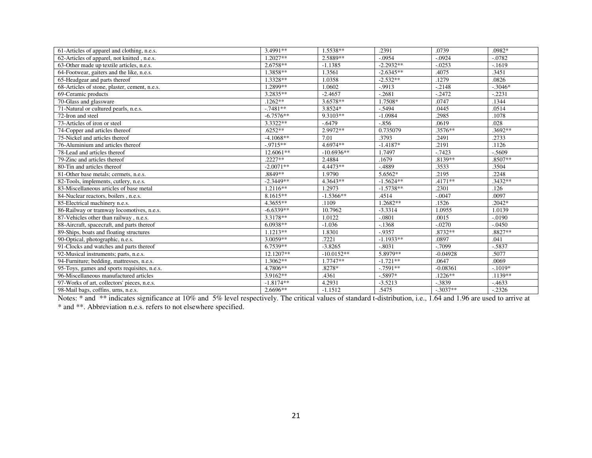| 61-Articles of apparel and clothing, n.e.s.   | 3.4991**    | 1.5538**     | .2391       | .0739      | .0982*    |
|-----------------------------------------------|-------------|--------------|-------------|------------|-----------|
| 62-Articles of apparel, not knitted, n.e.s.   | $1.2027**$  | 2.5889**     | $-.0954$    | $-.0924$   | $-.0782$  |
| 63-Other made up textile articles, n.e.s.     | 2.6758**    | $-1.1385$    | $-2.2932**$ | $-.0253$   | $-1619$   |
| 64-Footwear, gaiters and the like, n.e.s.     | 1.3858**    | 1.3561       | $-2.6345**$ | .4075      | .3451     |
| 65-Headgear and parts thereof                 | 1.3328**    | 1.0358       | $-2.532**$  | .1279      | .0826     |
| 68-Articles of stone, plaster, cement, n.e.s. | 1.2899**    | 1.0602       | $-0.9913$   | $-.2148$   | $-3046*$  |
| 69-Ceramic products                           | 3.2835**    | $-2.4657$    | $-.2681$    | $-.2472$   | $-.2231$  |
| 70-Glass and glassware                        | $.1262**$   | $3.6578**$   | 1.7508*     | .0747      | .1344     |
| 71-Natural or cultured pearls, n.e.s.         | $-.7481**$  | 3.8524*      | $-.5494$    | .0445      | .0514     |
| 72-Iron and steel                             | $-6.7576**$ | 9.3103**     | $-1.0984$   | .2985      | .1078     |
| 73-Articles of iron or steel                  | 3.3322**    | $-.6479$     | $-.856$     | .0619      | .028      |
| 74-Copper and articles thereof                | $.6252**$   | 2.9972**     | 0.735079    | $.3576**$  | $.3692**$ |
| 75-Nickel and articles thereof                | $-4.1068**$ | 7.01         | .3793       | .2491      | .2733     |
| 76-Aluminium and articles thereof             | $-0.9715**$ | 4.6974**     | $-1.4187*$  | .2191      | .1126     |
| 78-Lead and articles thereof                  | 12.6061**   | $-10.6936**$ | 1.7497      | $-0.7423$  | $-0.5609$ |
| 79-Zinc and articles thereof                  | $.2227**$   | 2.4884       | .1679       | $.8139**$  | $.8507**$ |
| 80-Tin and articles thereof                   | $-2.0071**$ | $4.4473**$   | $-.4889$    | .3533      | .3504     |
| 81-Other base metals; cermets, n.e.s.         | .8849**     | 1.9790       | 5.6562*     | .2195      | .2248     |
| 82-Tools, implements, cutlery, n.e.s.         | $-2.3449**$ | 4.3643**     | $-1.5624**$ | $.4171**$  | $.3432**$ |
| 83-Miscellaneous articles of base metal       | 1.2116**    | 1.2973       | $-1.5738**$ | .2301      | .126      |
| 84-Nuclear reactors, boilers, n.e.s.          | 8.1615**    | $-1.5366**$  | .4514       | $-.0047$   | .0097     |
| 85-Electrical machinery n.e.s.                | 4.3655**    | .1109        | 1.2682**    | .1526      | $.2042*$  |
| 86-Railway or tramway locomotives, n.e.s.     | $-6.6339**$ | 10.7962      | $-3.3314$   | 1.0955     | 1.0139    |
| 87-Vehicles other than railway, n.e.s.        | 3.3178**    | 1.0122       | $-.0801$    | .0015      | $-.0190$  |
| 88-Aircraft, spacecraft, and parts thereof    | $6.0938**$  | $-1.036$     | $-.1368$    | $-.0270$   | $-.0450$  |
| 89-Ships, boats and floating structures       | $1.1213**$  | 1.8301       | $-0.9357$   | .8732**    | .8827**   |
| 90-Optical, photographic, n.e.s.              | $3.0059**$  | .7221        | $-1.1933**$ | .0897      | .041      |
| 91-Clocks and watches and parts thereof       | 6.7539**    | $-3.8265$    | $-.8031$    | $-0.7099$  | $-5837$   |
| 92-Musical instruments; parts, n.e.s.         | 12.1207**   | $-10.0152**$ | 5.8979**    | $-0.04928$ | .5077     |
| 94-Furniture; bedding, mattresses, n.e.s.     | $1.3062**$  | $1.7747**$   | $-1.721**$  | .0647      | .0069     |
| 95-Toys, games and sports requisites, n.e.s.  | 4.7806**    | .8278*       | $-.7591**$  | $-0.08361$ | $-1019*$  |
| 96-Miscellaneous manufactured articles        | 3.9162**    | .4361        | $-.5897*$   | $.1226**$  | $.1139**$ |
| 97-Works of art, collectors' pieces, n.e.s.   | $-1.8174**$ | 4.2931       | $-3.5213$   | $-0.3839$  | $-4633$   |
| 98-Mail bags, coffins, urns, n.e.s.           | $2.6696**$  | $-1.1512$    | .5475       | $-.3037**$ | $-.2326$  |

Notes: \* and \*\* indicates significance at 10% and 5% level respectively. The critical values of standard t-distribution, i.e., 1.64 and 1.96 are used to arrive at \* and \*\*. Abbreviation n.e.s. refers to not elsewhere specified.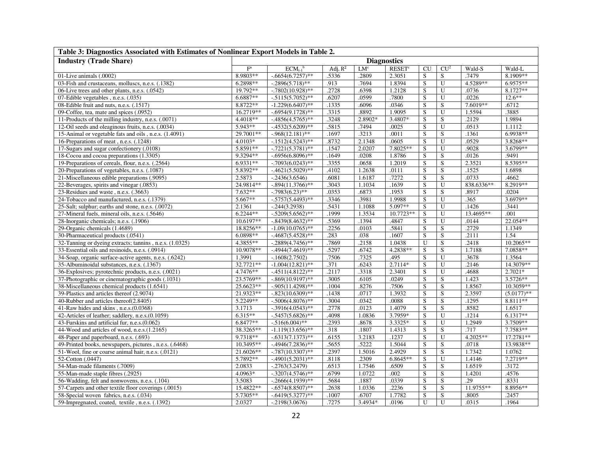| Table 3: Diagnostics Associated with Estimates of Nonlinear Export Models in Table 2. |                         |                          |            |                    |                           |                |                         |            |               |  |  |
|---------------------------------------------------------------------------------------|-------------------------|--------------------------|------------|--------------------|---------------------------|----------------|-------------------------|------------|---------------|--|--|
| <b>Industry (Trade Share)</b>                                                         |                         |                          |            | <b>Diagnostics</b> |                           |                |                         |            |               |  |  |
|                                                                                       | $\mathbf{F}^{\text{a}}$ | $ECM_{t-1}$ <sup>b</sup> | Adj. $R^2$ | LM <sup>c</sup>    | <b>RESET</b> <sup>c</sup> | CU             | CU <sup>2</sup>         | Wald-S     | Wald-L        |  |  |
| 01-Live animals (.0002)                                                               | 8.9803**                | $-0.6654(6.7257)$ **     | .5336      | .2809              | 2.3051                    | S              | S                       | .7479      | 8.1909**      |  |  |
| 03-Fish and crustaceans, molluscs, n.e.s. (.1382)                                     | 6.2898**                | $-.2896(5.718)$ **       | .913       | .7694              | 1.8394                    | $\overline{S}$ | $\overline{U}$          | 4.5289**   | 6.9575**      |  |  |
| 06-Live trees and other plants, n.e.s. (.0542)                                        | 19.792**                | $-.7802(10.928)$ **      | .2728      | .6398              | 1.2128                    | S              | U                       | .0736      | 8.1727**      |  |  |
| 07-Edible vegetables, n.e.s. (.035)                                                   | 6.6887**                | $-0.5115(5.7052)$ **     | .6207      | .0599              | .7800                     | S              | ${\bf U}$               | .0226      | $12.6**$      |  |  |
| 08-Edible fruit and nuts, n.e.s. (.1517)                                              | 8.8722**                | $-1.229(6.6407)$ **      | .1335      | .6096              | .0346                     | S              | S                       | 7.6019**   | .6712         |  |  |
| 09-Coffee, tea, mate and spices (.0952)                                               | 16.2719**               | $-.6954(9.1728)$ **      | .3315      | .8892              | 1.9095                    | S              | $\mathbf U$             | 1.5594     | .3885         |  |  |
| 11-Products of the milling industry, n.e.s. (.0071)                                   | 4.4018**                | $-0.4856(4.5765)$ **     | .3248      | 2.8902*            | 3.4807*                   | S              | ${\bf S}$               | .2129      | 1.9894        |  |  |
| 12-Oil seeds and oleaginous fruits, n.e.s. (.0034)                                    | 5.943**                 | $-0.4532(5.6209)$ **     | .5815      | .7494              | .0025                     | S              | $\mathbf U$             | .0513      | 1.1112        |  |  |
| 15-Animal or vegetable fats and oils, n.e.s. (1.4091)                                 | 29.7001**               | $-0.968(12.181)$ **      | .1697      | .3213              | .0011                     | S              | S                       | .1361      | 6.9938**      |  |  |
| 16-Preparations of meat, n.e.s. (.1248)                                               | $4.0103*$               | $-1512(4.5243)$ **       | .8732      | 2.1348             | .0605                     | $\overline{S}$ | $\overline{U}$          | .0529      | 3.8268**      |  |  |
| 17-Sugars and sugar confectionery (.0108)                                             | 5.8591**                | $-.7221(5.3781)$ **      | 1547       | 2.0207             | 7.8025**                  | S              | U                       | .9028      | 3.6799**      |  |  |
| 18-Cocoa and cocoa preparations (1.3305)                                              | 9.3294**                | $-0.6956(6.8096)$ **     | 1649       | .0208              | 1.8786                    | S              | S                       | .0126      | .9491         |  |  |
| 19-Preparations of cereals, flour, n.e.s. (.2564)                                     | 6.9331**                | $-.7093(6.0243)$ **      | 3355       | .0658              | 1.2019                    | ${\bf S}$      | ${\bf S}$               | 2.3521     | 8.5395**      |  |  |
| 20-Preparations of vegetables, n.e.s. (.1087)                                         | 5.8392**                | $-4621(5.5029)$ **       | .4102      | 1.2638             | .0111                     | S              | S                       | .1525      | 1.6898        |  |  |
| 21-Miscellaneous edible preparations (.9095)                                          | 2.5873                  | $-.2436(3.6546)$         | .6081      | 1.6187             | .7272                     | S              | S                       | .0733      | .4662         |  |  |
| 22-Beverages, spirits and vinegar (.0853)                                             | 24.9814**               | $-.894(11.3766)$ **      | 3043       | 1.1034             | .1639                     | S              | $\overline{U}$          | 838.6336** | 8.2919**      |  |  |
| 23-Residues and waste, n.e.s. (.3663)                                                 | $7.632**$               | $-.7983(6.23)$ **        | .0353      | .6873              | .1953                     | S              | S                       | .8917      | .0204         |  |  |
| 24-Tobacco and manufactured, n.e.s. (.1379)                                           | $5.667**$               | $-.5757(5.4493)$ **      | .3346      | .3981              | 1.9988                    | S              | $\mathbf U$             | .365       | 3.6979**      |  |  |
| 25-Salt; sulphur; earths and stone, n.e.s. (.0072)                                    | 2.1361                  | $-0.244(3.2938)$         | .5431      | 1.1088             | 5.097**                   | S              | ${\bf U}$               | .1426      | .3441         |  |  |
| 27-Mineral fuels, mineral oils, n.e.s. (.5646)                                        | $6.2244**$              | $-0.5209(5.6562)$ **     | 1999       | 1.3534             | 10.7723**                 | $\overline{S}$ | U                       | 13.4695**  | .001          |  |  |
| 28-Inorganic chemicals; n.e.s. (.1906)                                                | 10.6197**               | $-.8439(8.4632)$ **      | .5369      | .1394              | .4847                     | S              | $\mathbf U$             | .0144      | 22.054**      |  |  |
| 29-Organic chemicals (1.4689)                                                         | 18.8256**               | $-1.09(10.0765)$ **      | .2256      | .0103              | .5841                     | S              | $\overline{S}$          | .2729      | 1.1349        |  |  |
| 30-Pharmaceutical products (.0541)                                                    | 6.0898**                | $-4687(5.4528)$ **       | .283       | .038               | .1607                     | S              | $\overline{S}$          | .2111      | 1.54          |  |  |
| 32-Tanning or dyeing extracts; tannins, n.e.s. (1.0325)                               | 4.3855**                | $-.2889(4.7456)$ **      | 7869       | .2158              | 1.0438                    | U              | $\overline{S}$          | .2418      | 10.2065**     |  |  |
| 33-Essential oils and resinoids, n.e.s. (.0914)                                       | 10.9078**               | $-4944(7.4619)$ **       | .5297      | .6742              | 4.2838**                  | S              | S                       | 1.7188     | 7.0858**      |  |  |
| 34-Soap, organic surface-active agents, n.e.s. (.6242)                                | 1.3991                  | $-1608(2.7502)$          | .7506      | .7325              | .495                      | S              | $\overline{U}$          | .3678      | 1.3564        |  |  |
| 35-Albuminoidal substances, n.e.s. (.1367)                                            | 32.7721**               | $-1.004(12.821)$ **      | .371       | .6243              | 2.7114*                   | S              | $\overline{U}$          | .2146      | 14.3079**     |  |  |
| 36-Explosives; pyrotechnic products, n.e.s. (.0021)                                   | 4.7476**                | $-4511(4.8122)$ **       | .2117      | .3318              | 2.3401                    | S              | U                       | .4688      | $2.7021*$     |  |  |
| 37-Photographic or cinematographic goods (.1031)                                      | 23.5769**               | $-.869(10.9197)$ **      | .3005      | .6105              | .0249                     | S              | ${\bf S}$               | 1.423      | 3.5726**      |  |  |
| 38-Miscellaneous chemical products (1.6541)                                           | 25.6623**               | $-0.905(11.4298)$ **     | 1004       | .8276              | .7506                     | ${\bf S}$      | $\overline{S}$          | 1.8567     | 10.3059**     |  |  |
| 39-Plastics and articles thereof (2.9074)                                             | 21.9323**               | $-.823(10.6309)$ **      | .1438      | .0717              | 1.3932                    | S              | ${\bf S}$               | 2.3597     | $(5.0177)$ ** |  |  |
| 40-Rubber and articles thereof(2.8405)                                                | 5.2249**                | $-.5006(4.8076)$ **      | .3004      | .0342              | .0088                     | S              | S                       | .1295      | 8.8111**      |  |  |
| 41-Raw hides and skins, n.e.s.(0.0368)                                                | 3.1713                  | $-.3916(4.0543)$ **      | .2778      | .0123              | 1.4079                    | S              | $\overline{\mathbf{S}}$ | .8582      | 1.6517        |  |  |
| 42-Articles of leather; saddlery, n.e.s. (0.1059)                                     | $6.315**$               | $-.5457(5.6826)$ **      | .4098      | 1.0836             | 3.7959*                   | S              | U                       | .1214      | 6.1317**      |  |  |
| 43-Furskins and artificial fur, n.e.s. (0.062)                                        | 6.8477**                | $-0.516(6.004)$ **       | .2393      | .8678              | 3.3325*                   | S              | U                       | 1.2949     | 3.7509**      |  |  |
| 44-Wood and articles of wood, n.e.s.(1.2165)                                          | 38.3265**               | $-1.119(13.656)$ **      | .318       | .1807              | 1.4313                    | S              | $\overline{S}$          | .717       | 7.7583**      |  |  |
| 48-Paper and paperboard, n.e.s. (.693)                                                | 9.7318**                | $-.6313(7.1373)$ **      | .6155      | 3.2183             | .1237                     | $\overline{S}$ | $\mathbf U$             | 4.2025**   | 17.2781**     |  |  |
| 49-Printed books, newspapers, pictures, n.e.s. (.6468)                                | 10.3495**               | $-0.4946(7.2836)$ **     | .5655      | .5222              | 1.5044                    | S              | S                       | .0718      | 13.9838**     |  |  |
| 51-Wool, fine or coarse animal hair, n.e.s. (.0121)                                   | 21.6026**               | $-.787(10.3307)$ **      | .2397      | 1.5016             | 2.4929                    | $\overline{S}$ | $\overline{S}$          | 1.7342     | 1.0762        |  |  |
| 52-Cotton (.0447)                                                                     | 5.7892**                | $-.4901(5.2031)$ **      | .8118      | .2309              | $6.8645**$                | S              | $\mathbf U$             | 1.4146     | 7.2719**      |  |  |
| 54-Man-made filaments (.7009)                                                         | 2.0833                  | $-.2763(3.2479)$         | .6513      | 1.7546             | .6509                     | S              | ${\bf S}$               | 1.6519     | .3172         |  |  |
| 55-Man-made staple fibres (.2925)                                                     | 4.0963*                 | $-.3207(4.5746)$ **      | .6799      | 1.0722             | .002                      | S              | S                       | 1.4201     | .4576         |  |  |
| 56-Wadding, felt and nonwovens, n.e.s. (.104)                                         | 3.5083                  | $-.2666(4.1939)$ **      | .5684      | .1887              | .0339                     | S              | S                       | .29        | .8331         |  |  |
| 57-Carpets and other textile floor coverings (.0015)                                  | 15.4822**               | $-.6574(8.8507)$ **      | 2638       | 1.0336             | .2236                     | S              | S                       | 11.9755**  | 8.8956**      |  |  |
| 58-Special woven fabrics, n.e.s. (.034)                                               | 5.7305**                | $-0.6419(5.3277)$ **     | .1007      | .6707              | 1.7782                    | S              | ${\bf S}$               | .8005      | .2457         |  |  |
| 59-Impregnated, coated, textile, n.e.s. (.1392)                                       | 2.0327                  | $-0.2198(3.0676)$        | .7275      | 3.4934*            | .0196                     | U              | $\overline{U}$          | .0315      | .1964         |  |  |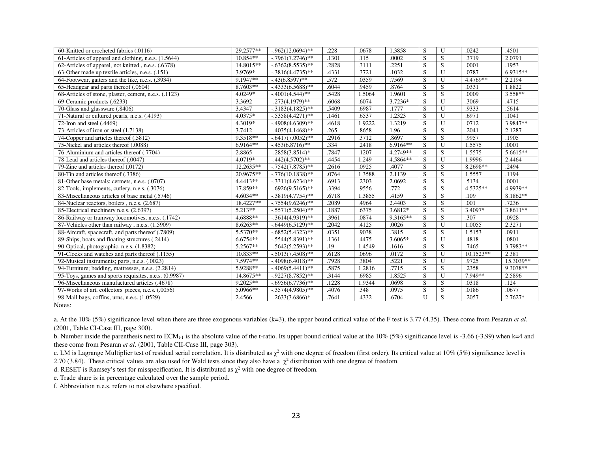| 60-Knitted or crocheted fabrics (.0116)               | 29.2577**  | $-0.962(12.0694)$ ** | .228  | .0678  | 1.3858             | S                       | U              | .0242       | .4501                 |
|-------------------------------------------------------|------------|----------------------|-------|--------|--------------------|-------------------------|----------------|-------------|-----------------------|
| 61-Articles of apparel and clothing, n.e.s. (1.5644)  | $10.854**$ | $-.7961(7.2746)$ **  | .1301 | .115   | .0002              | S                       | S              | .3719       | 2.0791                |
| 62-Articles of apparel, not knitted, n.e.s. (.6378)   | 14.8015**  | $-0.6362(8.5535)$ ** | .2828 | .3111  | .2251              | S                       | S              | .0001       | .1953                 |
| 63-Other made up textile articles, n.e.s. (.151)      | 3.9769*    | $-0.3816(4.4735)$ ** | .4331 | .3721  | .1032              | S                       | U              | .0787       | $6.9315**$            |
| 64-Footwear, gaiters and the like, n.e.s. (.3934)     | 9.1947**   | $-43(6.8597)$ **     | .572  | .0359  | .7569              | S                       | U              | 4.4769**    | 2.2194                |
| 65-Headgear and parts thereof (.0604)                 | $8.7603**$ | $-0.4333(6.5688)$ ** | .6044 | .9459  | .8764              | S                       | S              | .0331       | 1.8822                |
| 68-Articles of stone, plaster, cement, n.e.s. (.1123) | 4.0249*    | $-4001(4.544)$ **    | .5428 | 1.5064 | 1.9601             | S                       | S              | .0009       | $3.558**$             |
| 69-Ceramic products (.6233)                           | 3.3692     | $-.273(4.1979)$ **   | .6068 | .6074  | 3.7236*            | S                       | U              | .3069       | .4715                 |
| 70-Glass and glassware (.8406)                        | 3.4347     | $-0.3183(4.1825)$ ** | .5409 | .6987  | .1777              | S                       | U              | .9333       | .5614                 |
| 71-Natural or cultured pearls, n.e.s. (.4193)         | 4.0375*    | $-.5358(4.4271)$ **  | .1461 | .6537  | 1.2323             | S                       | $\mathbf{U}$   | .6971       | .1041                 |
| 72-Iron and steel (.4469)                             | 4.3019*    | $-4908(4.6309)$ **   | .4618 | 1.9222 | 1.3219             | S                       | U              | .0712       | 3.9847**              |
| 73-Articles of iron or steel (1.7138)                 | 3.7412     | $-4035(4.1468)$ **   | .265  | .8658  | 1.96               | S                       | S              | .2041       | 2.1287                |
| 74-Copper and articles thereof (.5812)                | 9.3518**   | $-0.6417(7.0052)$ ** | .2916 | .3712  | .8697              | S                       | S              | .9957       | .1905                 |
| 75-Nickel and articles thereof (.0088)                | $6.9164**$ | $-.453(6.8716)$ **   | .334  | .2418  | 6.9164**           | S                       | U              | 1.5575      | .0001                 |
| 76-Aluminium and articles thereof (.7704)             | 2.8865     | $-.2858(3.8514)*$    | .7847 | .1207  | 4.2749**           | S                       | ${\bf S}$      | 1.5575      | 5.6615**              |
| 78-Lead and articles thereof (.0047)                  | 4.0719*    | $-442(4.5702)$ **    | .4454 | 1.249  | 4.5864**           | S                       | U              | 1.9996      | 2.4464                |
| 79-Zinc and articles thereof (.0172)                  | 12.2635**  | $-.7542(7.8785)$ **  | .2616 | .0925  | .4077              | S                       | S              | 8.2698**    | .2494                 |
| 80-Tin and articles thereof (.3386)                   | 20.9675**  | $-.776(10.1838)$ **  | .0764 | 1.3588 | 2.1139             | S                       | S              | 1.5557      | .1194                 |
| 81-Other base metals; cermets, n.e.s. (.0707)         | 4.4413**   | $-.3311(4.6234)$ **  | .6913 | .2303  | 2.0692             | S                       | S              | .5134       | .0001                 |
| 82-Tools, implements, cutlery, n.e.s. (.3076)         | 17.859**   | $-0.6926(9.5165)$ ** | .3394 | .9556  | .772               | S                       | S              | 4.5325**    | 4.9939**              |
| 83-Miscellaneous articles of base metal (.5746)       | $4.6034**$ | $-.3819(4.7754)$ **  | .6718 | 1.3855 | $.41\overline{59}$ | $\overline{\mathbf{s}}$ | $\overline{S}$ | .109        | $8.\overline{1862**}$ |
| 84-Nuclear reactors, boilers, n.e.s. (2.687)          | 18.4227**  | $-.7554(9.6246)$ **  | .2089 | .4964  | 2.4403             | S                       | S              | .001        | .7236                 |
| 85-Electrical machinery n.e.s. (2.6397)               | $5.213**$  | $-.5571(5.2504)$ **  | .1887 | .6375  | 3.6812*            | S                       | S              | 3.4097*     | 3.8611**              |
| 86-Railway or tramway locomotives, n.e.s. (.1742)     | 4.6888**   | $-0.3614(4.9319)$ ** | .3961 | .0874  | 9.3165**           | S                       | S              | .307        | .0928                 |
| 87-Vehicles other than railway, n.e.s. (1.5909)       | $8.6263**$ | $-0.6449(6.5129)$ ** | .2042 | .4125  | .0026              | S                       | $\overline{U}$ | 1.0055      | 2.3271                |
| 88-Aircraft, spacecraft, and parts thereof (.7809)    | 5.5370**   | $-0.6852(5.4323)$ ** | .0351 | .9038  | .3815              | S                       | S              | 1.5153      | .0911                 |
| 89-Ships, boats and floating structures (.2414)       | $6.6754**$ | $-.5544(5.8391)$ **  | .1361 | .4475  | $3.6065*$          | S                       | U              | .4818       | .0801                 |
| 90-Optical, photographic, n.e.s. (1.8382)             | 5.2567**   | $-.5642(5.2593)$ **  | .19   | 1.4549 | .1616              | S                       | S              | .7465       | 3.7983**              |
| 91-Clocks and watches and parts thereof (.1155)       | $10.833**$ | $-.5013(7.4508)$ **  | .6128 | .0696  | .0172              | S                       | U              | $10.1523**$ | 2.381                 |
| 92-Musical instruments; parts, n.e.s. (.0023)         | 7.5974**   | $-.4098(6.4018)$ **  | .7928 | .3804  | .5221              | S                       | U              | .9725       | 15.3039**             |
| 94-Furniture; bedding, mattresses, n.e.s. (2.2814)    | 5.9288**   | $-4069(5.4411)$ **   | .5875 | 1.2816 | .7715              | S                       | S              | .2358       | 9.3078**              |
| 95-Toys, games and sports requisites, n.e.s. (0.9987) | 14.8675**  | $-0.9227(8.7852)$ ** | .3144 | .6985  | 1.8525             | S                       | $\mathbf{U}$   | 7.949**     | 2.5896                |
| 96-Miscellaneous manufactured articles (.4678)        | 9.2025**   | $-0.6956(6.7736)$ ** | .1228 | 1.9344 | .0698              | S                       | S              | .0318       | .124                  |
| 97-Works of art, collectors' pieces, n.e.s. (.0056)   | 5.0966**   | $-.3574(4.9805)$ **  | .4076 | .348   | .0975              | S                       | S              | .0186       | .0677                 |
| 98-Mail bags, coffins, urns, n.e.s. (1.0529)          | 2.4566     | $-.2633(3.6866)*$    | .7641 | .4332  | .6704              | U                       | S.             | .2057       | $2.7627*$             |
| Notes:                                                |            |                      |       |        |                    |                         |                |             |                       |

a. At the 10% (5%) significance level when there are three exogenous variables (k=3), the upper bound critical value of the F test is 3.77 (4.35). These come from Pesaran *et al*. (2001, Table CI-Case III, page 300).

b. Number inside the parenthesis next to ECM<sub>t-1</sub> is the absolute value of the t-ratio. Its upper bound critical value at the 10% (5%) significance level is -3.66 (-3.99) when k=4 and these come from Pesaran *et al*. (2001, Table CII-Case III, page 303).

c. LM is Lagrange Multiplier test of residual serial correlation. It is distributed as  $\chi^2$  with one degree of freedom (first order). Its critical value at 10% (5%) significance level is 2.70 (3.84). These critical values are also used for Wald tests since they also have a  $\chi^2$  distribution with one degree of freedom.

d. RESET is Ramsey's test for misspecification. It is distributed as  $\chi^2$  with one degree of freedom.

e. Trade share is in percentage calculated over the sample period.

f. Abbreviation n.e.s. refers to not elsewhere specified.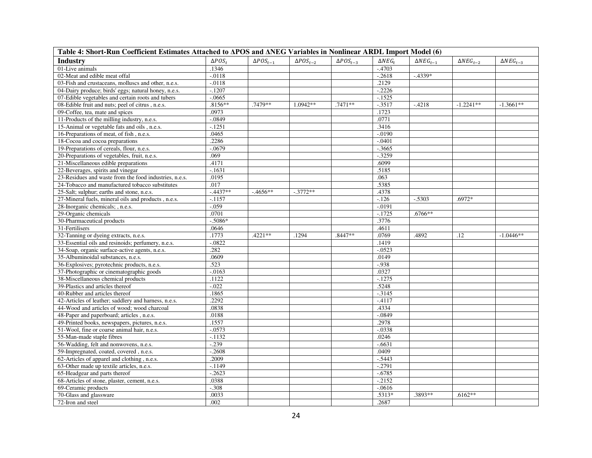| Table 4: Short-Run Coefficient Estimates Attached to APOS and ANEG Variables in Nonlinear ARDL Import Model (6) |                     |                    |                    |                    |                     |                       |                       |                       |
|-----------------------------------------------------------------------------------------------------------------|---------------------|--------------------|--------------------|--------------------|---------------------|-----------------------|-----------------------|-----------------------|
| Industry                                                                                                        | $\triangle POS_{t}$ | $\Delta POS_{t-1}$ | $\Delta POS_{t-2}$ | $\Delta POS_{t-3}$ | $\triangle NEG_{t}$ | $\triangle NEG_{t-1}$ | $\triangle NEG_{t-2}$ | $\triangle NEG_{t-3}$ |
| 01-Live animals                                                                                                 | .1346               |                    |                    |                    | $-.4703$            |                       |                       |                       |
| 02-Meat and edible meat offal                                                                                   | $-.0118$            |                    |                    |                    | $-.2618$            | $-.4339*$             |                       |                       |
| 03-Fish and crustaceans, molluscs and other, n.e.s.                                                             | $-.0118$            |                    |                    |                    | .2129               |                       |                       |                       |
| 04-Dairy produce; birds' eggs; natural honey, n.e.s.                                                            | $-.1207$            |                    |                    |                    | $-.2226$            |                       |                       |                       |
| 07-Edible vegetables and certain roots and tubers                                                               | $-.0665$            |                    |                    |                    | $-1525$             |                       |                       |                       |
| 08-Edible fruit and nuts; peel of citrus, n.e.s.                                                                | .8156**             | .7479 **           | $1.0942**$         | $.7471**$          | $-3517$             | $-4218$               | $-1.2241**$           | $-1.3661**$           |
| 09-Coffee, tea, mate and spices                                                                                 | .0973               |                    |                    |                    | .1723               |                       |                       |                       |
| 11-Products of the milling industry, n.e.s.                                                                     | $-.0849$            |                    |                    |                    | .0771               |                       |                       |                       |
| 15-Animal or vegetable fats and oils, n.e.s.                                                                    | $-1251$             |                    |                    |                    | .3416               |                       |                       |                       |
| 16-Preparations of meat, of fish, n.e.s.                                                                        | .0465               |                    |                    |                    | $-0.0190$           |                       |                       |                       |
| 18-Cocoa and cocoa preparations                                                                                 | .2286               |                    |                    |                    | $-.0401$            |                       |                       |                       |
| 19-Preparations of cereals, flour, n.e.s.                                                                       | $-.0679$            |                    |                    |                    | $-0.3665$           |                       |                       |                       |
| 20-Preparations of vegetables, fruit, n.e.s.                                                                    | .069                |                    |                    |                    | $-.3259$            |                       |                       |                       |
| 21-Miscellaneous edible preparations                                                                            | .4171               |                    |                    |                    | .6099               |                       |                       |                       |
| 22-Beverages, spirits and vinegar                                                                               | $-1631$             |                    |                    |                    | .5185               |                       |                       |                       |
| 23-Residues and waste from the food industries, n.e.s.                                                          | .0195               |                    |                    |                    | .063                |                       |                       |                       |
| 24-Tobacco and manufactured tobacco substitutes                                                                 | .017                |                    |                    |                    | .5385               |                       |                       |                       |
| 25-Salt; sulphur; earths and stone, n.e.s.                                                                      | $-.4437**$          | $-4656**$          | $-.3772**$         |                    | .4378               |                       |                       |                       |
| 27-Mineral fuels, mineral oils and products, n.e.s.                                                             | $-.1157$            |                    |                    |                    | $-126$              | $-.5303$              | .6972*                |                       |
| 28-Inorganic chemicals; , n.e.s.                                                                                | $-.059$             |                    |                    |                    | $-0.0191$           |                       |                       |                       |
| 29-Organic chemicals                                                                                            | .0701               |                    |                    |                    | $-1725$             | $.6766**$             |                       |                       |
| 30-Pharmaceutical products                                                                                      | $-.5086*$           |                    |                    |                    | .3776               |                       |                       |                       |
| 31-Fertilisers                                                                                                  | .0646               |                    |                    |                    | .4611               |                       |                       |                       |
| 32-Tanning or dyeing extracts, n.e.s.                                                                           | .1773               | .4221**            | .1294              | .8447**            | .0769               | .4892                 | .12                   | $-1.0446**$           |
| 33-Essential oils and resinoids; perfumery, n.e.s.                                                              | $-.0822$            |                    |                    |                    | .1419               |                       |                       |                       |
| 34-Soap, organic surface-active agents, n.e.s.                                                                  | .282                |                    |                    |                    | $-0.0523$           |                       |                       |                       |
| 35-Albuminoidal substances, n.e.s.                                                                              | .0609               |                    |                    |                    | .0149               |                       |                       |                       |
| 36-Explosives; pyrotechnic products, n.e.s.                                                                     | .523                |                    |                    |                    | $-938$              |                       |                       |                       |
| 37-Photographic or cinematographic goods                                                                        | $-.0163$            |                    |                    |                    | .0327               |                       |                       |                       |
| 38-Miscellaneous chemical products                                                                              | .1122               |                    |                    |                    | $-1275$             |                       |                       |                       |
| 39-Plastics and articles thereof                                                                                | $-0.022$            |                    |                    |                    | .5248               |                       |                       |                       |
| 40-Rubber and articles thereof                                                                                  | .1865               |                    |                    |                    | $-3145$             |                       |                       |                       |
| 42-Articles of leather; saddlery and harness, n.e.s.                                                            | .2292               |                    |                    |                    | $-4117$             |                       |                       |                       |
| 44-Wood and articles of wood; wood charcoal                                                                     | .0838               |                    |                    |                    | .4334               |                       |                       |                       |
| 48-Paper and paperboard; articles, n.e.s.                                                                       | .0188               |                    |                    |                    | $-.0849$            |                       |                       |                       |
| 49-Printed books, newspapers, pictures, n.e.s.                                                                  | .1557               |                    |                    |                    | .2978               |                       |                       |                       |
| 51-Wool, fine or coarse animal hair, n.e.s.                                                                     | $-.0573$            |                    |                    |                    | $-.0338$            |                       |                       |                       |
| 55-Man-made staple fibres                                                                                       | $-.1132$            |                    |                    |                    | .0246               |                       |                       |                       |
| 56-Wadding, felt and nonwovens, n.e.s.                                                                          | $-.239$             |                    |                    |                    | $-.6631$            |                       |                       |                       |
| 59-Impregnated, coated, covered, n.e.s.                                                                         | $-.2608$            |                    |                    |                    | .0409               |                       |                       |                       |
| 62-Articles of apparel and clothing, n.e.s.                                                                     | .2009               |                    |                    |                    | $-0.5443$           |                       |                       |                       |
| 63-Other made up textile articles, n.e.s.                                                                       | $-1149$             |                    |                    |                    | $-.2791$            |                       |                       |                       |
| 65-Headgear and parts thereof                                                                                   | $-.2623$            |                    |                    |                    | $-.6785$            |                       |                       |                       |
| 68-Articles of stone, plaster, cement, n.e.s.                                                                   | .0388               |                    |                    |                    | $-2152$             |                       |                       |                       |
| 69-Ceramic products                                                                                             | $-.308$             |                    |                    |                    | $-0616$             |                       |                       |                       |
| 70-Glass and glassware                                                                                          | .0033               |                    |                    |                    | .5313*              | .3893**               | $.6162**$             |                       |
| 72-Iron and steel                                                                                               | .002                |                    |                    |                    | .2687               |                       |                       |                       |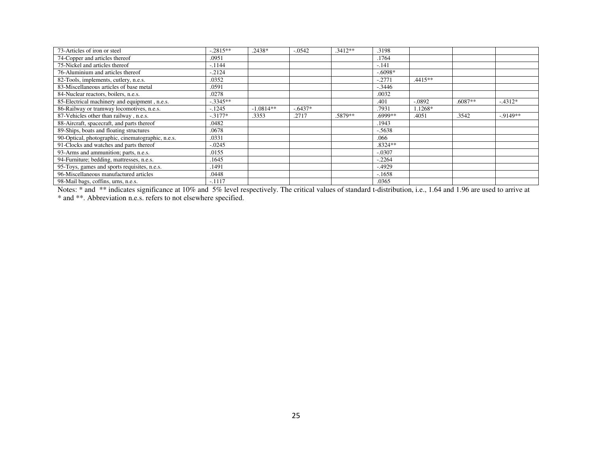| 73-Articles of iron or steel                      | $-.2815**$ | .2438*      | $-.0542$  | $.3412**$ | .3198     |           |           |           |
|---------------------------------------------------|------------|-------------|-----------|-----------|-----------|-----------|-----------|-----------|
| 74-Copper and articles thereof                    | .0951      |             |           |           | .1764     |           |           |           |
| 75-Nickel and articles thereof                    | $-.1144$   |             |           |           | $-.141$   |           |           |           |
| 76-Aluminium and articles thereof                 | $-2124$    |             |           |           | $-.6098*$ |           |           |           |
| 82-Tools, implements, cutlery, n.e.s.             | .0352      |             |           |           | $-.2771$  | $.4415**$ |           |           |
| 83-Miscellaneous articles of base metal           | .0591      |             |           |           | $-.3446$  |           |           |           |
| 84-Nuclear reactors, boilers, n.e.s.              | .0278      |             |           |           | .0032     |           |           |           |
| 85-Electrical machinery and equipment, n.e.s.     | $-.3345**$ |             |           |           | .401      | $-.0892$  | $.6087**$ | $-4312*$  |
| 86-Railway or tramway locomotives, n.e.s.         | $-1245$    | $-1.0814**$ | $-.6437*$ |           | .7931     | 1.1268*   |           |           |
| 87-Vehicles other than railway, n.e.s.            | $-.3177*$  | .3353       | .2717     | .5879**   | .6999**   | .4051     | .3542     | $-9149**$ |
| 88-Aircraft, spacecraft, and parts thereof        | .0482      |             |           |           | .1943     |           |           |           |
| 89-Ships, boats and floating structures           | .0678      |             |           |           | $-.5638$  |           |           |           |
| 90-Optical, photographic, cinematographic, n.e.s. | .0331      |             |           |           | .066      |           |           |           |
| 91-Clocks and watches and parts thereof           | $-.0245$   |             |           |           | $.8324**$ |           |           |           |
| 93-Arms and ammunition; parts, n.e.s.             | .0155      |             |           |           | $-.0307$  |           |           |           |
| 94-Furniture; bedding, mattresses, n.e.s.         | .1645      |             |           |           | $-.2264$  |           |           |           |
| 95-Toys, games and sports requisites, n.e.s.      | .1491      |             |           |           | $-.4929$  |           |           |           |
| 96-Miscellaneous manufactured articles            | .0448      |             |           |           | $-.1658$  |           |           |           |
| 98-Mail bags, coffins, urns, n.e.s.               | $-.1117$   |             |           |           | .0365     |           |           |           |

Notes: \* and \*\* indicates significance at 10% and 5% level respectively. The critical values of standard t-distribution, i.e., 1.64 and 1.96 are used to arrive at \* and \*\*. Abbreviation n.e.s. refers to not elsewhere specified.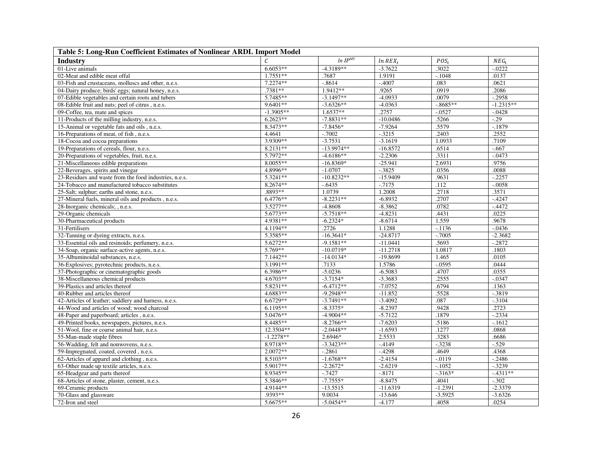| Table 5: Long-Run Coefficient Estimates of Nonlinear ARDL Import Model |             |              |              |             |             |  |  |  |  |  |  |
|------------------------------------------------------------------------|-------------|--------------|--------------|-------------|-------------|--|--|--|--|--|--|
| Industry                                                               |             | $ln IP^{MY}$ | $ln$ $REX_t$ | $POS_{t}$   | $NEG_{t}$   |  |  |  |  |  |  |
| 01-Live animals                                                        | $6.6053**$  | $-4.3189**$  | $-3.7622$    | .3022       | $-.0222$    |  |  |  |  |  |  |
| 02-Meat and edible meat offal                                          | $1.7551**$  | .7687        | 1.9191       | $-.1048$    | .0137       |  |  |  |  |  |  |
| 03-Fish and crustaceans, molluscs and other, n.e.s.                    | $7.2274**$  | $-.8614$     | $-0.4007$    | .083        | .0621       |  |  |  |  |  |  |
| 04-Dairy produce; birds' eggs; natural honey, n.e.s.                   | $.7381**$   | 1.9412**     | .9265        | .0919       | .2086       |  |  |  |  |  |  |
| 07-Edible vegetables and certain roots and tubers                      | 5.7485**    | $-3.1497**$  | $-4.0933$    | .0079       | $-.2958$    |  |  |  |  |  |  |
| 08-Edible fruit and nuts; peel of citrus, n.e.s.                       | 9.6401**    | $-3.6326**$  | $-4.0363$    | $-0.8685**$ | $-1.2315**$ |  |  |  |  |  |  |
| 09-Coffee, tea, mate and spices                                        | $-1.3905**$ | $1.6537**$   | .2757        | $-.0527$    | $-.0428$    |  |  |  |  |  |  |
| 11-Products of the milling industry, n.e.s.                            | $6.2623**$  | $-7.8831**$  | $-10.0486$   | .5266       | $-0.29$     |  |  |  |  |  |  |
| 15-Animal or vegetable fats and oils, n.e.s.                           | 8.3473**    | $-7.8456*$   | $-7.9264$    | .5579       | $-1879$     |  |  |  |  |  |  |
| 16-Preparations of meat, of fish, n.e.s.                               | 4.4641      | $-.7002$     | $-0.3215$    | .2403       | .2552       |  |  |  |  |  |  |
| 18-Cocoa and cocoa preparations                                        | 3.9309**    | $-3.7531$    | $-3.1619$    | 1.0933      | .7109       |  |  |  |  |  |  |
| 19-Preparations of cereals, flour, n.e.s.                              | 8.2131**    | $-13.9974**$ | $-16.8572$   | .6514       | $-667$      |  |  |  |  |  |  |
| 20-Preparations of vegetables, fruit, n.e.s.                           | 5.7972**    | $-4.6186**$  | $-2.2306$    | .3311       | $-0.0473$   |  |  |  |  |  |  |
| 21-Miscellaneous edible preparations                                   | 8.0055**    | $-16.8369*$  | $-25.941$    | 2.6931      | .9756       |  |  |  |  |  |  |
| 22-Beverages, spirits and vinegar                                      | 4.8996**    | $-1.0707$    | $-0.3825$    | .0356       | .0088       |  |  |  |  |  |  |
| 23-Residues and waste from the food industries, n.e.s.                 | 5.3241**    | $-10.8232**$ | $-15.9409$   | .9631       | $-.2257$    |  |  |  |  |  |  |
| 24-Tobacco and manufactured tobacco substitutes                        | 8.2674**    | $-0.6435$    | $-7175$      | .112        | $-.0058$    |  |  |  |  |  |  |
| 25-Salt; sulphur; earths and stone, n.e.s.                             | .8893**     | 1.0739       | 1.2008       | .2718       | .3571       |  |  |  |  |  |  |
| 27-Mineral fuels, mineral oils and products, n.e.s.                    | 6.4776**    | $-8.2231**$  | $-6.8932$    | .2707       | $-4247$     |  |  |  |  |  |  |
| 28-Inorganic chemicals; , n.e.s.                                       | 3.5277**    | $-4.8608$    | $-8.3862$    | .0782       | $-0.4472$   |  |  |  |  |  |  |
| 29-Organic chemicals                                                   | 5.6773**    | $-5.7518**$  | $-4.8231$    | .4431       | .0225       |  |  |  |  |  |  |
| 30-Pharmaceutical products                                             | 4.9381**    | $-6.2324*$   | $-8.6714$    | 1.559       | .9678       |  |  |  |  |  |  |
| 31-Fertilisers                                                         | 4.1194**    | .2726        | 1.1288       | $-.1136$    | $-.0436$    |  |  |  |  |  |  |
| 32-Tanning or dyeing extracts, n.e.s.                                  | 5.3585**    | $-16.3641*$  | $-24.8717$   | $-0.7005$   | $-2.3682$   |  |  |  |  |  |  |
| 33-Essential oils and resinoids; perfumery, n.e.s.                     | 5.6272**    | $-9.1581**$  | $-11.0441$   | .5693       | $-.2872$    |  |  |  |  |  |  |
| 34-Soap, organic surface-active agents, n.e.s.                         | 5.769**     | $-10.0719*$  | $-11.2718$   | 1.0817      | .1803       |  |  |  |  |  |  |
| 35-Albuminoidal substances, n.e.s.                                     | 7.1442**    | $-14.0134*$  | $-19.8699$   | 1.465       | .0105       |  |  |  |  |  |  |
| 36-Explosives; pyrotechnic products, n.e.s.                            | 3.1991**    | .7133        | 1.5786       | $-.0595$    | .0444       |  |  |  |  |  |  |
| 37-Photographic or cinematographic goods                               | 6.3986**    | $-5.0236$    | $-6.5083$    | .4707       | .0355       |  |  |  |  |  |  |
| 38-Miscellaneous chemical products                                     | 4.6703**    | $-3.7154*$   | $-3.3683$    | .2555       | $-0.0347$   |  |  |  |  |  |  |
| 39-Plastics and articles thereof                                       | 5.8231**    | $-6.4712**$  | $-7.0752$    | .6794       | .1363       |  |  |  |  |  |  |
| 40-Rubber and articles thereof                                         | 4.6883**    | $-9.2948**$  | $-11.852$    | .5528       | $-0.3819$   |  |  |  |  |  |  |
| 42-Articles of leather; saddlery and harness, n.e.s.                   | 6.6729**    | $-3.7491**$  | $-3.4092$    | .087        | $-3104$     |  |  |  |  |  |  |
| 44-Wood and articles of wood; wood charcoal                            | 6.1195**    | $-8.3375*$   | $-8.2397$    | .9428       | .2723       |  |  |  |  |  |  |
| 48-Paper and paperboard; articles, n.e.s.                              | 5.0476**    | $-4.9004**$  | $-5.7122$    | .1879       | $-.2334$    |  |  |  |  |  |  |
| 49-Printed books, newspapers, pictures, n.e.s.                         | 8.4485**    | $-8.2766**$  | $-7.6203$    | .5186       | $-.1612$    |  |  |  |  |  |  |
| 51-Wool, fine or coarse animal hair, n.e.s.                            | 12.3504**   | $-2.0448**$  | $-1.6593$    | .1277       | .0868       |  |  |  |  |  |  |
| 55-Man-made staple fibres                                              | $-1.2278**$ | 2.6946*      | 2.5533       | .3283       | .6686       |  |  |  |  |  |  |
| 56-Wadding, felt and nonwovens, n.e.s.                                 | 8.9718**    | $-3.3423**$  | $-4149$      | $-0.3238$   | $-.529$     |  |  |  |  |  |  |
| 59-Impregnated, coated, covered, n.e.s.                                | $2.0072**$  | $-.2861$     | $-.4298$     | .4649       | .4368       |  |  |  |  |  |  |
| 62-Articles of apparel and clothing, n.e.s.                            | 8.5103**    | $-1.6768**$  | $-2.4154$    | $-0119$     | $-2486$     |  |  |  |  |  |  |
| 63-Other made up textile articles, n.e.s.                              | 5.9017**    | $-2.2672*$   | $-2.6219$    | $-.1052$    | $-0.3239$   |  |  |  |  |  |  |
| 65-Headgear and parts thereof                                          | 8.9345**    | $-0.7427$    | $-0.8171$    | $-3163*$    | $-4311**$   |  |  |  |  |  |  |
| 68-Articles of stone, plaster, cement, n.e.s.                          | 5.3846**    | $-7.7555*$   | $-8.8475$    | .4041       | $-.302$     |  |  |  |  |  |  |
| 69-Ceramic products                                                    | 4.9144**    | $-13.5515$   | $-11.6319$   | $-1.2391$   | $-2.3379$   |  |  |  |  |  |  |
| 70-Glass and glassware                                                 | .9393**     | 9.0034       | $-13.646$    | $-3.5925$   | $-3.6326$   |  |  |  |  |  |  |
| 72-Iron and steel                                                      | 5.6675**    | $-5.0454**$  | $-4.177$     | .4058       | .0254       |  |  |  |  |  |  |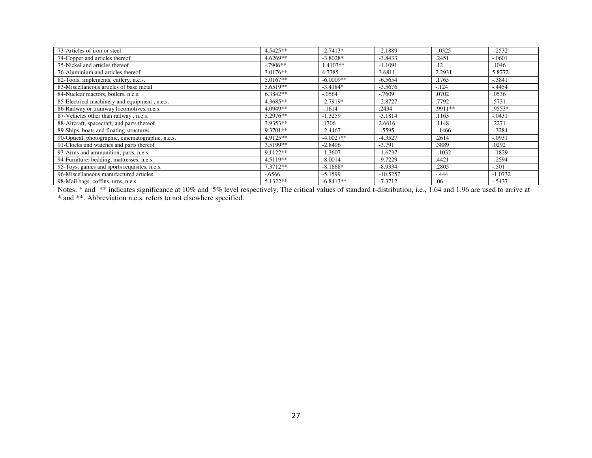| 73-Articles of iron or steel                      | 4.5425**   | $-2.7413*$  | $-2.1889$  | $-.0325$ | $-0.2532$ |
|---------------------------------------------------|------------|-------------|------------|----------|-----------|
| 74-Copper and articles thereof                    | 4.6269**   | $-3.8028*$  | $-3.8433$  | .2451    | $-.0601$  |
| 75-Nickel and articles thereof                    | $-.7906**$ | 1.4107**    | $-1.1091$  | .12      | .1046     |
| 76-Aluminium and articles thereof                 | $3.0176**$ | 4.7385      | 3.6811     | 2.2931   | 5.8772    |
| 82-Tools, implements, cutlery, n.e.s.             | $5.0167**$ | $-6.0009**$ | $-6.5654$  | .1765    | $-.3841$  |
| 83-Miscellaneous articles of base metal           | 5.6519**   | $-3.4184*$  | $-3.5676$  | $-.124$  | $-4454$   |
| 84-Nuclear reactors, boilers, n.e.s.              | $6.3842**$ | $-.0564$    | $-0.7609$  | .0702    | .0536     |
| 85-Electrical machinery and equipment, n.e.s.     | 4.3685**   | $-2.7919*$  | $-2.8727$  | .7792    | .5731     |
| 86-Railway or tramway locomotives, n.e.s.         | 4.0949**   | $-1614$     | .2434      | .9911**  | $.9553*$  |
| 87-Vehicles other than railway, n.e.s.            | 3.2976**   | $-1.3259$   | $-3.1814$  | .1163    | $-.0431$  |
| 88-Aircraft, spacecraft, and parts thereof        | 3.9353**   | .1706       | 2.6616     | .1148    | .2271     |
| 89-Ships, boats and floating structures           | 9.3701**   | $-2.4467$   | $-.5595$   | $-1466$  | $-.3284$  |
| 90-Optical, photographic, cinematographic, n.e.s. | 4.9125**   | $-4.0027**$ | $-4.3527$  | .2614    | $-.0931$  |
| 91-Clocks and watches and parts thereof           | 3.5199**   | $-2.8496$   | $-3.791$   | .3889    | .0292     |
| 93-Arms and ammunition; parts, n.e.s.             | 9.1122**   | $-1.3607$   | $-1.6737$  | $-.1032$ | $-1829$   |
| 94-Furniture; bedding, mattresses, n.e.s.         | $4.5119**$ | $-8.0014$   | $-9.7229$  | .4421    | $-.2594$  |
| 95-Toys, games and sports requisites, n.e.s.      | 7.3712**   | $-8.1868*$  | $-8.9334$  | .2805    | $-.501$   |
| 96-Miscellaneous manufactured articles            | $-6566$    | $-5.1599$   | $-10.5257$ | $-444$   | $-1.0732$ |
| 98-Mail bags, coffins, urns, n.e.s.               | 5.1322**   | $-6.8413**$ | $-7.3712$  | .06      | $-.5437$  |

Notes: \* and \*\* indicates significance at 10% and 5% level respectively. The critical values of standard t-distribution, i.e., 1.64 and 1.96 are used to arrive at \* and \*\*. Abbreviation n.e.s. refers to not elsewhere specified.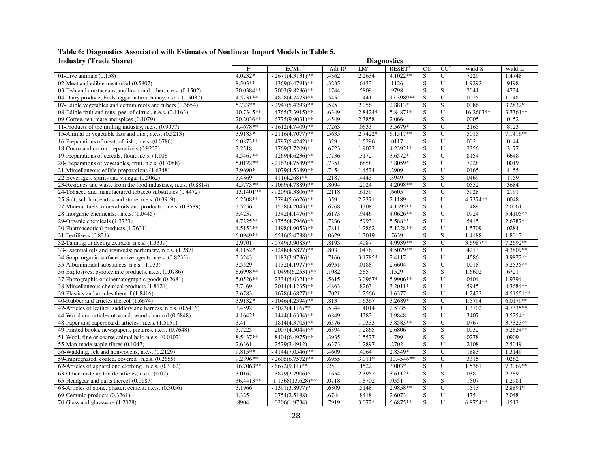| Table 6: Diagnostics Associated with Estimates of Nonlinear Import Models in Table 5. |                         |                          |            |                 |                      |                         |                         |           |            |  |  |
|---------------------------------------------------------------------------------------|-------------------------|--------------------------|------------|-----------------|----------------------|-------------------------|-------------------------|-----------|------------|--|--|
| <b>Industry (Trade Share)</b>                                                         |                         |                          |            |                 | <b>Diagnostics</b>   |                         |                         |           |            |  |  |
|                                                                                       | $\mathbf{F}^{\text{a}}$ | $ECM_{t-1}$ <sup>b</sup> | Adj. $R^2$ | LM <sup>c</sup> | $RESET$ <sup>d</sup> | CU                      | CU <sup>2</sup>         | Wald-S    | Wald-L     |  |  |
| $01$ -Live animals $(0.158)$                                                          | 4.0232*                 | $-0.2671(4.3131)$ **     | .4362      | 2.2634          | 4.1022**             | S                       | U                       | .7229     | 1.4748     |  |  |
| 02-Meat and edible meat offal (0.5807)                                                | $8.503**$               | $-4369(6.4791)$ **       | .3235      | .6433           | .1126                | $\overline{\mathbf{s}}$ | $\overline{U}$          | 1.9292    | .9498      |  |  |
| 03-Fish and crustaceans, molluscs and other, n.e.s. (0.1502)                          | 20.0384**               | $-0.7003(9.8286)$ **     | .1744      | .5809           | .9798                | S                       | S                       | .2041     | .4734      |  |  |
| 04-Dairy produce; birds' eggs; natural honey, n.e.s. (1.5037)                         | 4.5731**                | $-4828(4.7473)$ **       | .545       | 1.441           | 17.3989**            | S                       | U                       | .0025     | 1.148      |  |  |
| 07-Edible vegetables and certain roots and tubers (0.3654)                            | 5.723**                 | $-.2947(5.4293)$ **      | .525       | 2.056           | 2.8813*              | S                       | S                       | .0086     | 3.2832*    |  |  |
| 08-Edible fruit and nuts; peel of citrus, n.e.s. (0.1163)                             | 10.7345**               | $-4765(7.3915)$ **       | .6349      | 2.8424*         | 5.8487**             | S                       | U                       | 16.2603** | 3.7361**   |  |  |
| 09-Coffee, tea, mate and spices (0.1079)                                              | 20.2036**               | $-.6775(9.9031)$ **      | .4549      | 2.3858          | 2.0664               | S                       | S                       | .0005     | .0152      |  |  |
| 11-Products of the milling industry, n.e.s. (0.9077)                                  | 4.4678**                | $-1612(4.7409)$ **       | .7263      | .0633           | 3.5679*              | S                       | ${\bf U}$               | .2165     | .8123      |  |  |
| 15-Animal or vegetable fats and oils, n.e.s. (0.5213)                                 | 3.9183*                 | $-.2116(4.7077)$ **      | .5635      | 2.7422*         | $6.1517**$           | S                       | U                       | .5015     | $7.1416**$ |  |  |
| 16-Preparations of meat, of fish, n.e.s. (0.0786)                                     | 6.0873**                | $-4797(5.4242)*$         | .329       | 1.5296          | .0117                | S                       | $\overline{U}$          | .002      | .0144      |  |  |
| 18-Cocoa and cocoa preparations (0.9233)                                              | 3.2518                  | $-.1769(3.7209)*$        | .6723      | 1.9023          | 4.2392**             | ${\bf S}$               | U                       | .2356     | .3177      |  |  |
| 19-Preparations of cereals, flour, n.e.s. (1.108)                                     | 4.5467**                | $-1269(4.6236)$ **       | .7736      | .3172           | 3.6572*              | S                       | U                       | .8154     | .6648      |  |  |
| 20-Preparations of vegetables, fruit, n.e.s. (0.7088)                                 | 5.0122**                | $-.2163(4.7589)$ **      | .7351      | .6858           | 3.8059*              | S                       | U                       | .7228     | .0019      |  |  |
| 21-Miscellaneous edible preparations (1.6348)                                         | 3.9690*                 | $-0.1079(4.5389)$ **     | .7454      | 1.4574          | .2909                | S                       | $\overline{U}$          | .0165     | .4155      |  |  |
| 22-Beverages, spirits and vinegar (0.5062)                                            | 3.4869                  | $-411(4.268)$ **         | 2187       | .4443           | .3949                | S                       | S                       | .0469     | .1159      |  |  |
| 23-Residues and waste from the food industries, n.e.s. (0.8814)                       | $4.5773**$              | $-1069(4.7889)$ **       | 8094       | .2024           | $4.2098**$           | S                       | U                       | .0552     | .3684      |  |  |
| 24-Tobacco and manufactured tobacco substitutes (0.4472)                              | 13.1401**               | $-0.9209(8.3806)$ **     | 2118       | .6159           | .6605                | S                       | U                       | .5928     | .2191      |  |  |
| 25-Salt; sulphur; earths and stone, n.e.s. (0.3919)                                   | 6.2508**                | $-.3794(5.6626)$ **      | .359       | 2.2371          | 2.1189               | S                       | U                       | 4.7374**  | .0048      |  |  |
| 27-Mineral fuels, mineral oils and products, n.e.s. (0.8589)                          | 3.5256                  | $-.1538(4.2043)$ **      | .6768      | .1308           | 4.1395**             | S                       | U                       | .1489     | 2.0061     |  |  |
| 28-Inorganic chemicals; , n.e.s. (1.0445)                                             | 3.4237                  | $-1342(4.1476)$ **       | .6173      | .9446           | 4.0626**             | S                       | $\overline{U}$          | .0924     | 5.4105**   |  |  |
| 29-Organic chemicals (1.3733)                                                         | 4.7225**                | $-1755(4.7966)$ **       | .7236      | .5993           | 5.588**              | S                       | $\overline{U}$          | .5415     | 2.6787*    |  |  |
| 30-Pharmaceutical products (1.7631)                                                   | $4.5153**$              | $-1498(4.9053)$ **       | .7811      | 1.2862          | 5.1228**             | S                       | $\overline{U}$          | 1.5709    | .0284      |  |  |
| 31-Fertilisers (0.821)                                                                | $6.0949**$              | $-.6516(5.4788)$ **      | .0629      | 1.3019          | .7639                | S                       | $\overline{\mathbf{S}}$ | 1.4188    | 1.8013     |  |  |
| 32-Tanning or dyeing extracts, n.e.s. (1.3339)                                        | 2.9701                  | $-0.0749(3.9083)^*$      | .8193      | .4087           | 4.9939**             | S                       | $\overline{U}$          | 3.6987**  | 7.2692**   |  |  |
| 33-Essential oils and resinoids; perfumery, n.e.s. (1.287)                            | 4.1152*                 | $-1248(4.5877)$ **       | .803       | .0476           | 4.5079**             | S                       | U                       | .4213     | 4.3809**   |  |  |
| 34-Soap, organic surface-active agents, n.e.s. (0.8233)                               | 3.3243                  | $-.1183(3.9786)*$        | .7166      | 3.1785*         | 2.4117               | S                       | $\overline{U}$          | .4586     | 3.9872**   |  |  |
| 35-Albuminoidal substances, n.e.s. (1.033)                                            | 3.5529                  | $-1132(4.1977)$ **       | .6951      | .0188           | 2.6604               | S                       | U                       | .0018     | 5.2535**   |  |  |
| 36-Explosives; pyrotechnic products, n.e.s. (0.0786)                                  | 8.6998**                | $-1.0496(6.2531)$ **     | 1082       | .585            | .1529                | S                       | $\overline{S}$          | 1.6602    | .6721      |  |  |
| 37-Photographic or cinematographic goods (0.2681)                                     | 5.0526**                | $-.2334(5.0321)$ **      | .5615      | 3.0967*         | 5.9906**             | S                       | $\overline{U}$          | .0404     | 1.9394     |  |  |
| 38-Miscellaneous chemical products (1.8121)                                           | 3.7469                  | $-.2014(4.1235)$ **      | 4863       | .8263           | $3.2011*$            | S                       | U                       | .5945     | 4.3684**   |  |  |
| 39-Plastics and articles thereof (1.8416)                                             | 3.6783                  | $-1678(4.6827)$ **       | .7021      | 1.2566          | 1.6377               | S                       | U                       | 1.2432    | 4.51551**  |  |  |
| 40-Rubber and articles thereof (1.6674)                                               | 3.9132*                 | $-1046(4.2394)$ **       | .813       | 1.6367          | 3.2689*              | S                       | $\overline{U}$          | 1.5794    | 6.0179**   |  |  |
| 42-Articles of leather; saddlery and harness, n.e.s. (0.5416)                         | 3.4592                  | $-.3023(4.116)$ **       | .5344      | 1.4014          | 2.5335               | S                       | $\overline{U}$          | 1.3702    | 4.7335**   |  |  |
| 44-Wood and articles of wood; wood charcoal (0.5848)                                  | 4.1642*                 | $-1444(4.6334)$ **       | .6849      | .1382           | 1.9848               | S                       | U                       | .3407     | 3.5254*    |  |  |
| 48-Paper and paperboard; articles, n.e.s. (1.5151)                                    | 3.41                    | $-1814(4.3705)$ **       | .6576      | 1.0333          | 3.8583**             | S                       | U                       | .0767     | 3.7323**   |  |  |
| 49-Printed books, newspapers, pictures, n.e.s. (0.7648)                               | 3.7225                  | $-.2007(4.5044)$ **      | .6394      | 1.2865          | 2.6806               | S                       | S                       | .0032     | 5.2824**   |  |  |
| 51-Wool, fine or coarse animal hair, n.e.s. (0.0107)                                  | 8.5437**                | $-.8404(6.4975)$ **      | .3935      | 1.5577          | .4799                | S                       | ${\bf S}$               | .0278     | .0909      |  |  |
| 55-Man-made staple fibres (0.1047)                                                    | 2.6361                  | $-.2579(3.4912)$         | .6373      | 1.2897          | .2702                | S                       | $\overline{U}$          | .2108     | 2.5049     |  |  |
| 56-Wadding, felt and nonwovens, n.e.s. (0.2129)                                       | 9.815**                 | $-4144(7.0546)$ **       | .4609      | .4064           | 2.8349*              | S                       | U                       | .1883     | 1.3149     |  |  |
| 59-Impregnated, coated, covered, n.e.s. (0.2655)                                      | 9.2896**                | $-.2605(6.7572)$ **      | .6955      | $3.011*$        | 10.4546**            | S                       | U                       | .3315     | .0262      |  |  |
| 62-Articles of apparel and clothing, n.e.s. (0.3062)                                  | 16.7068**               | $-.6672(9.11)$ **        | .25        | .1522           | $3.003*$             | S                       | $\overline{\text{U}}$   | 1.5361    | 7.3069**   |  |  |
| 63-Other made up textile articles, n.e.s. (0.07)                                      | 3.0167                  | $-.3879(3.7906)*$        | .1654      | 2.3952          | 3.6112*              | S                       | S                       | .038      | 2.289      |  |  |
| 65-Headgear and parts thereof (0.0187)                                                | 36.4413**               | $-1.1368(13.628)$ **     | .0718      | 1.8702          | .0551                | S                       | S                       | .1507     | 1.2981     |  |  |
| 68-Articles of stone, plaster, cement, n.e.s. (0.3056)                                | 3.1966                  | $-.1391(3.8977)*$        | .6809      | .5148           | 2.9858**             | S                       | U                       | .1513     | 2.8891*    |  |  |
| 69-Ceramic products (0.3261)                                                          | 1.325                   | $-.0754(2.5188)$         | .6744      | .8418           | 2.6073               | S                       | U                       | .475      | 2.048      |  |  |
| 70-Glass and glassware (1.2028)                                                       | .8904                   | $-.0206(1.9734)$         | .7919      | 3.072*          | 6.6875**             | S                       | $\overline{U}$          | 6.8754**  | .1512      |  |  |